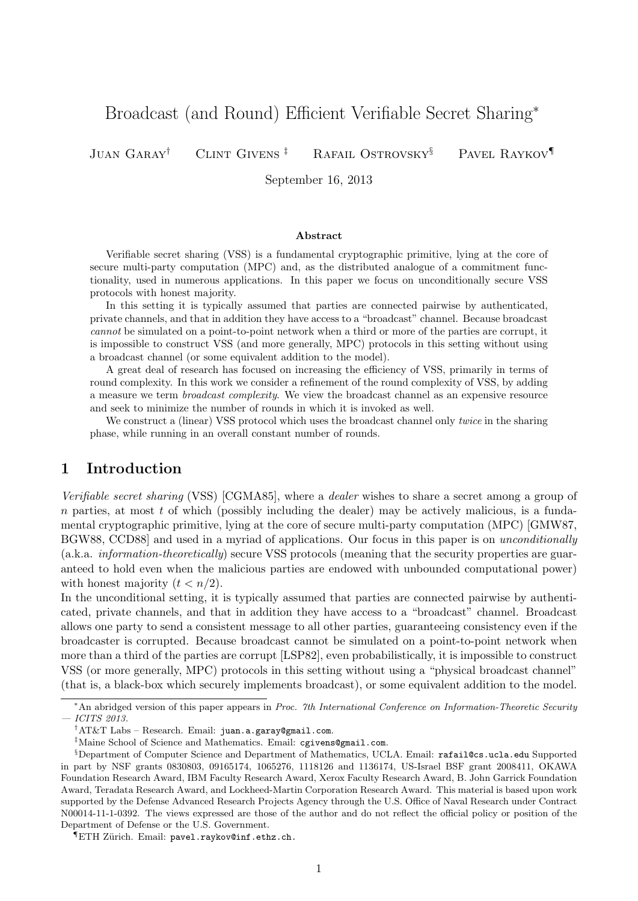# Broadcast (and Round) Efficient Verifiable Secret Sharing*<sup>∗</sup>*

### Juan Garay*†* Clint Givens *‡* Rafail Ostrovsky*§* Pavel Raykov*¶*

September 16, 2013

#### **Abstract**

Verifiable secret sharing (VSS) is a fundamental cryptographic primitive, lying at the core of secure multi-party computation (MPC) and, as the distributed analogue of a commitment functionality, used in numerous applications. In this paper we focus on unconditionally secure VSS protocols with honest majority.

In this setting it is typically assumed that parties are connected pairwise by authenticated, private channels, and that in addition they have access to a "broadcast" channel. Because broadcast *cannot* be simulated on a point-to-point network when a third or more of the parties are corrupt, it is impossible to construct VSS (and more generally, MPC) protocols in this setting without using a broadcast channel (or some equivalent addition to the model).

A great deal of research has focused on increasing the efficiency of VSS, primarily in terms of round complexity. In this work we consider a refinement of the round complexity of VSS, by adding a measure we term *broadcast complexity*. We view the broadcast channel as an expensive resource and seek to minimize the number of rounds in which it is invoked as well.

We construct a (linear) VSS protocol which uses the broadcast channel only *twice* in the sharing phase, while running in an overall constant number of rounds.

### **1 Introduction**

*Verifiable secret sharing* (VSS) [CGMA85], where a *dealer* wishes to share a secret among a group of *n* parties, at most *t* of which (possibly including the dealer) may be actively malicious, is a fundamental cryptographic primitive, lying at the core of secure multi-party computation (MPC) [GMW87, BGW88, CCD88] and used in a myriad of applications. Our focus in this paper is on *unconditionally* (a.k.a. *information-theoretically*) secure VSS protocols (meaning that the security properties are guaranteed to hold even when the malicious parties are endowed with unbounded computational power) with honest majority  $(t < n/2)$ .

In the unconditional setting, it is typically assumed that parties are connected pairwise by authenticated, private channels, and that in addition they have access to a "broadcast" channel. Broadcast allows one party to send a consistent message to all other parties, guaranteeing consistency even if the broadcaster is corrupted. Because broadcast cannot be simulated on a point-to-point network when more than a third of the parties are corrupt [LSP82], even probabilistically, it is impossible to construct VSS (or more generally, MPC) protocols in this setting without using a "physical broadcast channel" (that is, a black-box which securely implements broadcast), or some equivalent addition to the model.

*<sup>∗</sup>*An abridged version of this paper appears in *Proc. 7th International Conference on Information-Theoretic Security — ICITS 2013.*

*<sup>†</sup>*AT&T Labs – Research. Email: juan.a.garay@gmail.com.

*<sup>‡</sup>*Maine School of Science and Mathematics. Email: cgivens@gmail.com.

*<sup>§</sup>*Department of Computer Science and Department of Mathematics, UCLA. Email: rafail@cs.ucla.edu Supported in part by NSF grants 0830803, 09165174, 1065276, 1118126 and 1136174, US-Israel BSF grant 2008411, OKAWA Foundation Research Award, IBM Faculty Research Award, Xerox Faculty Research Award, B. John Garrick Foundation Award, Teradata Research Award, and Lockheed-Martin Corporation Research Award. This material is based upon work supported by the Defense Advanced Research Projects Agency through the U.S. Office of Naval Research under Contract N00014-11-1-0392. The views expressed are those of the author and do not reflect the official policy or position of the Department of Defense or the U.S. Government.

 $\P$ ETH Zürich. Email: pavel.raykov@inf.ethz.ch.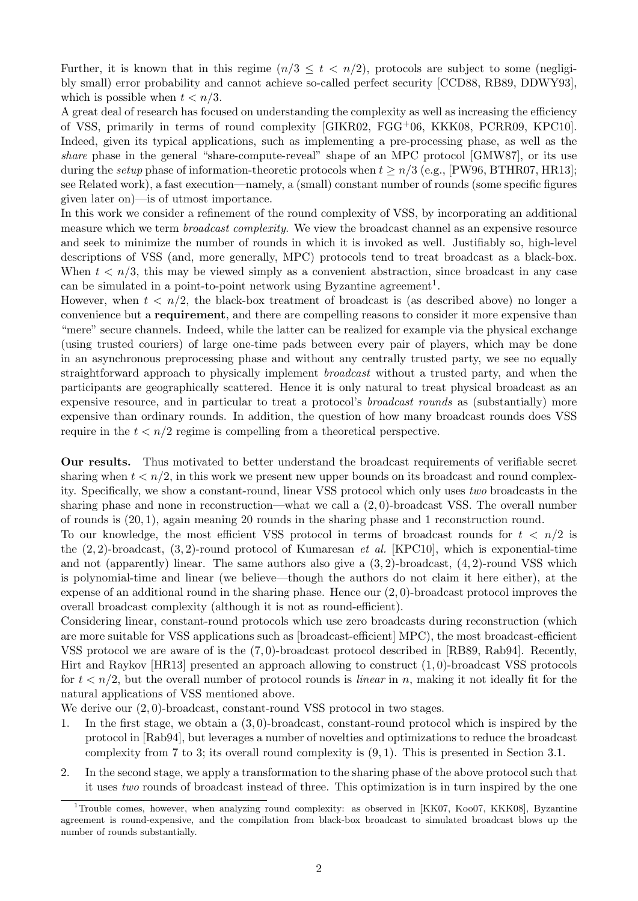Further, it is known that in this regime  $(n/3 \le t \le n/2)$ , protocols are subject to some (negligibly small) error probability and cannot achieve so-called perfect security [CCD88, RB89, DDWY93], which is possible when  $t < n/3$ .

A great deal of research has focused on understanding the complexity as well as increasing the efficiency of VSS, primarily in terms of round complexity [GIKR02, FGG+06, KKK08, PCRR09, KPC10]. Indeed, given its typical applications, such as implementing a pre-processing phase, as well as the *share* phase in the general "share-compute-reveal" shape of an MPC protocol [GMW87], or its use during the *setup* phase of information-theoretic protocols when  $t \ge n/3$  (e.g., [PW96, BTHR07, HR13]; see Related work), a fast execution—namely, a (small) constant number of rounds (some specific figures given later on)—is of utmost importance.

In this work we consider a refinement of the round complexity of VSS, by incorporating an additional measure which we term *broadcast complexity*. We view the broadcast channel as an expensive resource and seek to minimize the number of rounds in which it is invoked as well. Justifiably so, high-level descriptions of VSS (and, more generally, MPC) protocols tend to treat broadcast as a black-box. When  $t < n/3$ , this may be viewed simply as a convenient abstraction, since broadcast in any case can be simulated in a point-to-point network using Byzantine agreement<sup>1</sup>.

However, when  $t < n/2$ , the black-box treatment of broadcast is (as described above) no longer a convenience but a **requirement**, and there are compelling reasons to consider it more expensive than "mere" secure channels. Indeed, while the latter can be realized for example via the physical exchange (using trusted couriers) of large one-time pads between every pair of players, which may be done in an asynchronous preprocessing phase and without any centrally trusted party, we see no equally straightforward approach to physically implement *broadcast* without a trusted party, and when the participants are geographically scattered. Hence it is only natural to treat physical broadcast as an expensive resource, and in particular to treat a protocol's *broadcast rounds* as (substantially) more expensive than ordinary rounds. In addition, the question of how many broadcast rounds does VSS require in the  $t < n/2$  regime is compelling from a theoretical perspective.

**Our results.** Thus motivated to better understand the broadcast requirements of verifiable secret sharing when  $t < n/2$ , in this work we present new upper bounds on its broadcast and round complexity. Specifically, we show a constant-round, linear VSS protocol which only uses *two* broadcasts in the sharing phase and none in reconstruction—what we call a (2*,* 0)-broadcast VSS. The overall number of rounds is (20*,* 1), again meaning 20 rounds in the sharing phase and 1 reconstruction round.

To our knowledge, the most efficient VSS protocol in terms of broadcast rounds for  $t < n/2$  is the (2*,* 2)-broadcast, (3*,* 2)-round protocol of Kumaresan *et al.* [KPC10], which is exponential-time and not (apparently) linear. The same authors also give a (3*,* 2)-broadcast, (4*,* 2)-round VSS which is polynomial-time and linear (we believe—though the authors do not claim it here either), at the expense of an additional round in the sharing phase. Hence our (2*,* 0)-broadcast protocol improves the overall broadcast complexity (although it is not as round-efficient).

Considering linear, constant-round protocols which use zero broadcasts during reconstruction (which are more suitable for VSS applications such as [broadcast-efficient] MPC), the most broadcast-efficient VSS protocol we are aware of is the (7*,* 0)-broadcast protocol described in [RB89, Rab94]. Recently, Hirt and Raykov [HR13] presented an approach allowing to construct (1*,* 0)-broadcast VSS protocols for  $t < n/2$ , but the overall number of protocol rounds is *linear* in *n*, making it not ideally fit for the natural applications of VSS mentioned above.

We derive our  $(2, 0)$ -broadcast, constant-round VSS protocol in two stages.

- 1. In the first stage, we obtain a (3*,* 0)-broadcast, constant-round protocol which is inspired by the protocol in [Rab94], but leverages a number of novelties and optimizations to reduce the broadcast complexity from 7 to 3; its overall round complexity is (9*,* 1). This is presented in Section 3.1.
- 2. In the second stage, we apply a transformation to the sharing phase of the above protocol such that it uses *two* rounds of broadcast instead of three. This optimization is in turn inspired by the one

<sup>&</sup>lt;sup>1</sup>Trouble comes, however, when analyzing round complexity: as observed in [KK07, Koo07, KKK08], Byzantine agreement is round-expensive, and the compilation from black-box broadcast to simulated broadcast blows up the number of rounds substantially.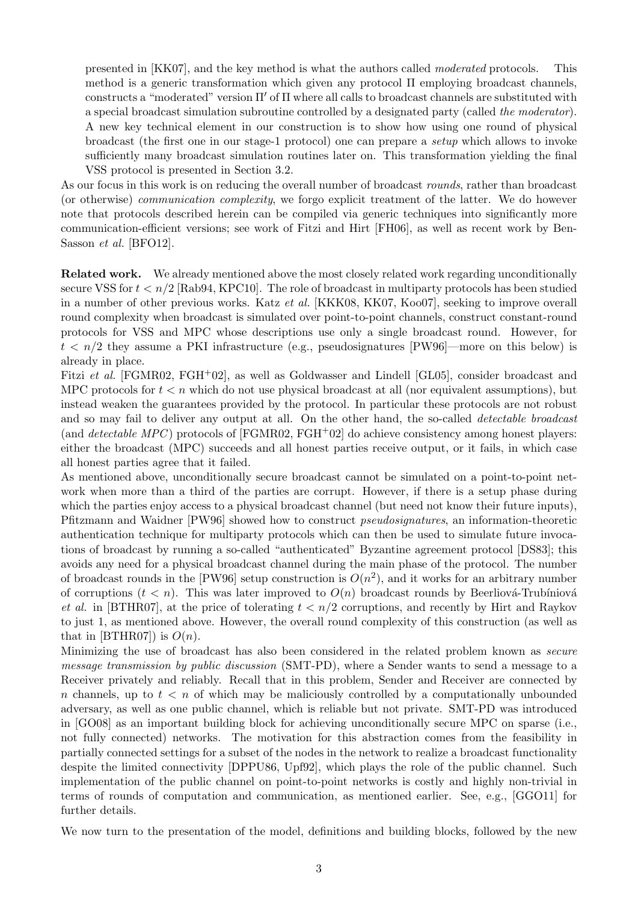presented in [KK07], and the key method is what the authors called *moderated* protocols. This method is a generic transformation which given any protocol Π employing broadcast channels, constructs a "moderated" version Π*′* of Π where all calls to broadcast channels are substituted with a special broadcast simulation subroutine controlled by a designated party (called *the moderator*). A new key technical element in our construction is to show how using one round of physical broadcast (the first one in our stage-1 protocol) one can prepare a *setup* which allows to invoke sufficiently many broadcast simulation routines later on. This transformation yielding the final VSS protocol is presented in Section 3.2.

As our focus in this work is on reducing the overall number of broadcast *rounds*, rather than broadcast (or otherwise) *communication complexity*, we forgo explicit treatment of the latter. We do however note that protocols described herein can be compiled via generic techniques into significantly more communication-efficient versions; see work of Fitzi and Hirt [FH06], as well as recent work by Ben-Sasson *et al.* [BFO12].

**Related work.** We already mentioned above the most closely related work regarding unconditionally secure VSS for  $t < n/2$  [Rab94, KPC10]. The role of broadcast in multiparty protocols has been studied in a number of other previous works. Katz *et al.* [KKK08, KK07, Koo07], seeking to improve overall round complexity when broadcast is simulated over point-to-point channels, construct constant-round protocols for VSS and MPC whose descriptions use only a single broadcast round. However, for  $t < n/2$  they assume a PKI infrastructure (e.g., pseudosignatures [PW96]—more on this below) is already in place.

Fitzi *et al.* [FGMR02, FGH<sup>+</sup>02], as well as Goldwasser and Lindell [GL05], consider broadcast and MPC protocols for  $t < n$  which do not use physical broadcast at all (nor equivalent assumptions), but instead weaken the guarantees provided by the protocol. In particular these protocols are not robust and so may fail to deliver any output at all. On the other hand, the so-called *detectable broadcast* (and *detectable MPC*) protocols of [FGMR02, FGH<sup>+</sup>02] do achieve consistency among honest players: either the broadcast (MPC) succeeds and all honest parties receive output, or it fails, in which case all honest parties agree that it failed.

As mentioned above, unconditionally secure broadcast cannot be simulated on a point-to-point network when more than a third of the parties are corrupt. However, if there is a setup phase during which the parties enjoy access to a physical broadcast channel (but need not know their future inputs), Pfitzmann and Waidner [PW96] showed how to construct *pseudosignatures*, an information-theoretic authentication technique for multiparty protocols which can then be used to simulate future invocations of broadcast by running a so-called "authenticated" Byzantine agreement protocol [DS83]; this avoids any need for a physical broadcast channel during the main phase of the protocol. The number of broadcast rounds in the  $[PW96]$  setup construction is  $O(n^2)$ , and it works for an arbitrary number of corruptions  $(t \leq n)$ . This was later improved to  $O(n)$  broadcast rounds by Beerliová-Trubíniová *et al.* in [BTHR07], at the price of tolerating  $t < n/2$  corruptions, and recently by Hirt and Raykov to just 1, as mentioned above. However, the overall round complexity of this construction (as well as that in [BTHR07]) is  $O(n)$ .

Minimizing the use of broadcast has also been considered in the related problem known as *secure message transmission by public discussion* (SMT-PD), where a Sender wants to send a message to a Receiver privately and reliably. Recall that in this problem, Sender and Receiver are connected by *n* channels, up to  $t < n$  of which may be maliciously controlled by a computationally unbounded adversary, as well as one public channel, which is reliable but not private. SMT-PD was introduced in [GO08] as an important building block for achieving unconditionally secure MPC on sparse (i.e., not fully connected) networks. The motivation for this abstraction comes from the feasibility in partially connected settings for a subset of the nodes in the network to realize a broadcast functionality despite the limited connectivity [DPPU86, Upf92], which plays the role of the public channel. Such implementation of the public channel on point-to-point networks is costly and highly non-trivial in terms of rounds of computation and communication, as mentioned earlier. See, e.g., [GGO11] for further details.

We now turn to the presentation of the model, definitions and building blocks, followed by the new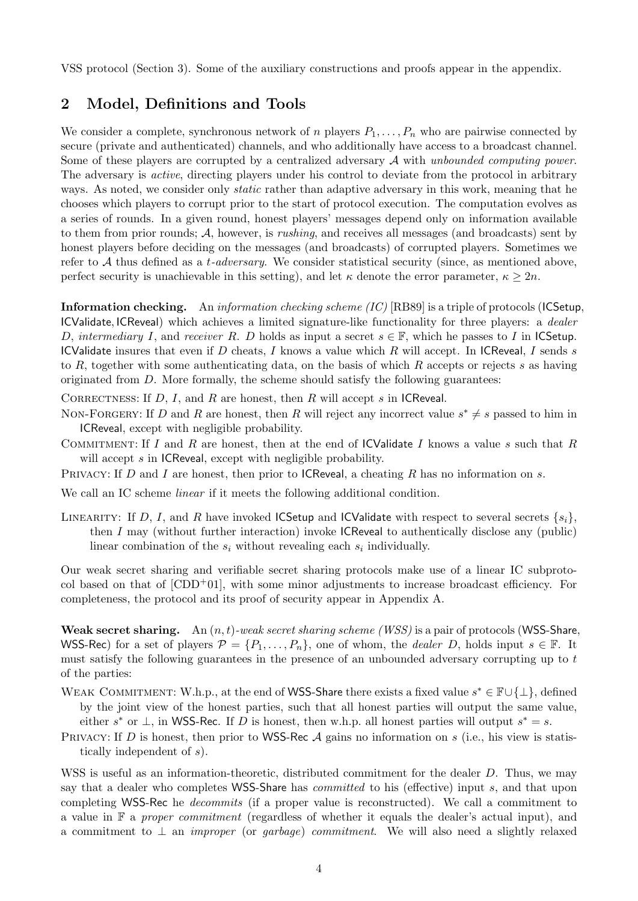VSS protocol (Section 3). Some of the auxiliary constructions and proofs appear in the appendix.

## **2 Model, Definitions and Tools**

We consider a complete, synchronous network of *n* players  $P_1, \ldots, P_n$  who are pairwise connected by secure (private and authenticated) channels, and who additionally have access to a broadcast channel. Some of these players are corrupted by a centralized adversary *A* with *unbounded computing power*. The adversary is *active*, directing players under his control to deviate from the protocol in arbitrary ways. As noted, we consider only *static* rather than adaptive adversary in this work, meaning that he chooses which players to corrupt prior to the start of protocol execution. The computation evolves as a series of rounds. In a given round, honest players' messages depend only on information available to them from prior rounds; *A*, however, is *rushing*, and receives all messages (and broadcasts) sent by honest players before deciding on the messages (and broadcasts) of corrupted players. Sometimes we refer to *A* thus defined as a *t-adversary*. We consider statistical security (since, as mentioned above, perfect security is unachievable in this setting), and let  $\kappa$  denote the error parameter,  $\kappa \geq 2n$ .

**Information checking.** An *information checking scheme (IC)* [RB89] is a triple of protocols (ICSetup*,* ICValidate*,* ICReveal) which achieves a limited signature-like functionality for three players: a *dealer D*, intermediary *I*, and receiver *R*. *D* holds as input a secret  $s \in \mathbb{F}$ , which he passes to *I* in ICSetup. ICValidate insures that even if *D* cheats, *I* knows a value which *R* will accept. In ICReveal, *I* sends *s* to *R*, together with some authenticating data, on the basis of which *R* accepts or rejects *s* as having originated from *D*. More formally, the scheme should satisfy the following guarantees:

Correctness: If *D*, *I*, and *R* are honest, then *R* will accept *s* in ICReveal.

- NON-FORGERY: If *D* and *R* are honest, then *R* will reject any incorrect value  $s^* \neq s$  passed to him in ICReveal, except with negligible probability.
- Commitment: If *I* and *R* are honest, then at the end of ICValidate *I* knows a value *s* such that *R* will accept *s* in ICReveal, except with negligible probability.
- Privacy: If *D* and *I* are honest, then prior to ICReveal, a cheating *R* has no information on *s*.

We call an IC scheme *linear* if it meets the following additional condition.

LINEARITY: If *D*, *I*, and *R* have invoked ICSetup and ICValidate with respect to several secrets  $\{s_i\}$ , then *I* may (without further interaction) invoke ICReveal to authentically disclose any (public) linear combination of the  $s_i$  without revealing each  $s_i$  individually.

Our weak secret sharing and verifiable secret sharing protocols make use of a linear IC subprotocol based on that of  $[CDD+01]$ , with some minor adjustments to increase broadcast efficiency. For completeness, the protocol and its proof of security appear in Appendix A.

**Weak secret sharing.** An (*n, t*)*-weak secret sharing scheme (WSS)* is a pair of protocols (WSS-Share*,* WSS-Rec) for a set of players  $\mathcal{P} = \{P_1, \ldots, P_n\}$ , one of whom, the *dealer D*, holds input  $s \in \mathbb{F}$ . It must satisfy the following guarantees in the presence of an unbounded adversary corrupting up to *t* of the parties:

- Weak Commitment: W.h.p., at the end of WSS-Share there exists a fixed value *s <sup>∗</sup> ∈* F*∪{⊥}*, defined by the joint view of the honest parties, such that all honest parties will output the same value, either  $s^*$  or  $\perp$ , in WSS-Rec. If *D* is honest, then w.h.p. all honest parties will output  $s^* = s$ .
- PRIVACY: If *D* is honest, then prior to WSS-Rec *A* gains no information on *s* (i.e., his view is statistically independent of *s*).

WSS is useful as an information-theoretic, distributed commitment for the dealer *D*. Thus, we may say that a dealer who completes WSS-Share has *committed* to his (effective) input *s*, and that upon completing WSS-Rec he *decommits* (if a proper value is reconstructed). We call a commitment to a value in F a *proper commitment* (regardless of whether it equals the dealer's actual input), and a commitment to *⊥* an *improper* (or *garbage*) *commitment*. We will also need a slightly relaxed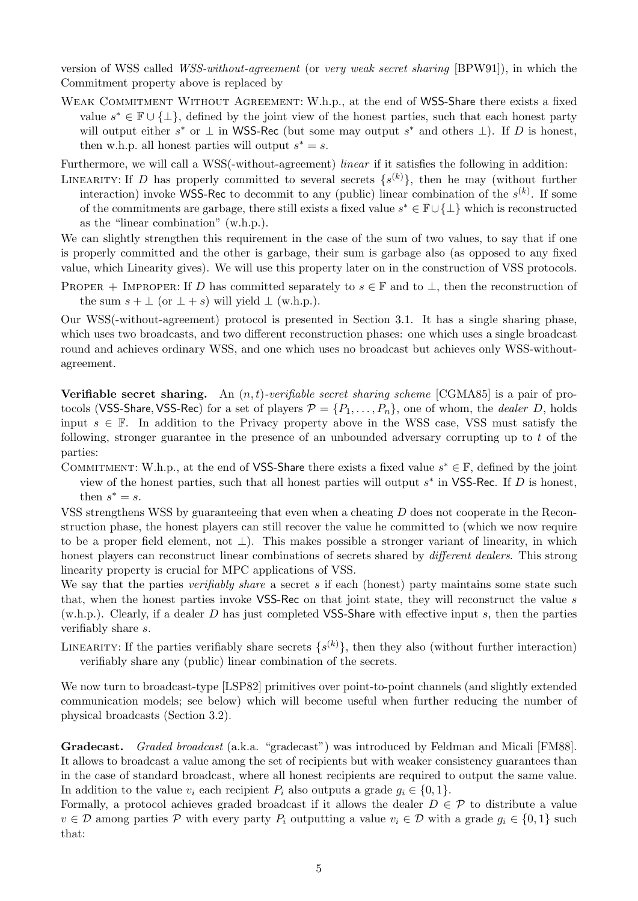version of WSS called *WSS-without-agreement* (or *very weak secret sharing* [BPW91]), in which the Commitment property above is replaced by

WEAK COMMITMENT WITHOUT AGREEMENT: W.h.p., at the end of WSS-Share there exists a fixed value  $s^*$  ∈  $\mathbb{F} \cup {\perp}$ , defined by the joint view of the honest parties, such that each honest party will output either *s ∗* or *⊥* in WSS-Rec (but some may output *s ∗* and others *⊥*). If *D* is honest, then w.h.p. all honest parties will output  $s^* = s$ .

Furthermore, we will call a WSS(-without-agreement) *linear* if it satisfies the following in addition:

LINEARITY: If *D* has properly committed to several secrets  $\{s^{(k)}\}$ , then he may (without further interaction) invoke WSS-Rec to decommit to any (public) linear combination of the  $s^{(k)}$ . If some of the commitments are garbage, there still exists a fixed value *s <sup>∗</sup> ∈* F*∪ {⊥}* which is reconstructed as the "linear combination" (w.h.p.).

We can slightly strengthen this requirement in the case of the sum of two values, to say that if one is properly committed and the other is garbage, their sum is garbage also (as opposed to any fixed value, which Linearity gives). We will use this property later on in the construction of VSS protocols.

PROPER + IMPROPER: If *D* has committed separately to  $s \in \mathbb{F}$  and to  $\perp$ , then the reconstruction of the sum  $s + \perp$  (or  $\perp + s$ ) will yield  $\perp$  (w.h.p.).

Our WSS(-without-agreement) protocol is presented in Section 3.1. It has a single sharing phase, which uses two broadcasts, and two different reconstruction phases: one which uses a single broadcast round and achieves ordinary WSS, and one which uses no broadcast but achieves only WSS-withoutagreement.

**Verifiable secret sharing.** An (*n, t*)*-verifiable secret sharing scheme* [CGMA85] is a pair of protocols (VSS-Share, VSS-Rec) for a set of players  $P = \{P_1, \ldots, P_n\}$ , one of whom, the *dealer D*, holds input  $s \in \mathbb{F}$ . In addition to the Privacy property above in the WSS case, VSS must satisfy the following, stronger guarantee in the presence of an unbounded adversary corrupting up to *t* of the parties:

COMMITMENT: W.h.p., at the end of VSS-Share there exists a fixed value  $s^* \in \mathbb{F}$ , defined by the joint view of the honest parties, such that all honest parties will output *s ∗* in VSS-Rec. If *D* is honest, then  $s^* = s$ .

VSS strengthens WSS by guaranteeing that even when a cheating *D* does not cooperate in the Reconstruction phase, the honest players can still recover the value he committed to (which we now require to be a proper field element, not *⊥*). This makes possible a stronger variant of linearity, in which honest players can reconstruct linear combinations of secrets shared by *different dealers*. This strong linearity property is crucial for MPC applications of VSS.

We say that the parties *verifiably share* a secret *s* if each (honest) party maintains some state such that, when the honest parties invoke VSS-Rec on that joint state, they will reconstruct the value *s* (w.h.p.). Clearly, if a dealer *D* has just completed VSS-Share with effective input *s*, then the parties verifiably share *s*.

LINEARITY: If the parties verifiably share secrets  $\{s^{(k)}\}$ , then they also (without further interaction) verifiably share any (public) linear combination of the secrets.

We now turn to broadcast-type [LSP82] primitives over point-to-point channels (and slightly extended communication models; see below) which will become useful when further reducing the number of physical broadcasts (Section 3.2).

**Gradecast.** *Graded broadcast* (a.k.a. "gradecast") was introduced by Feldman and Micali [FM88]. It allows to broadcast a value among the set of recipients but with weaker consistency guarantees than in the case of standard broadcast, where all honest recipients are required to output the same value. In addition to the value  $v_i$  each recipient  $P_i$  also outputs a grade  $g_i \in \{0, 1\}$ .

Formally, a protocol achieves graded broadcast if it allows the dealer  $D \in \mathcal{P}$  to distribute a value *v* ∈ *D* among parties *P* with every party  $P_i$  outputting a value  $v_i$  ∈ *D* with a grade  $g_i$  ∈ {0*,* 1} such that: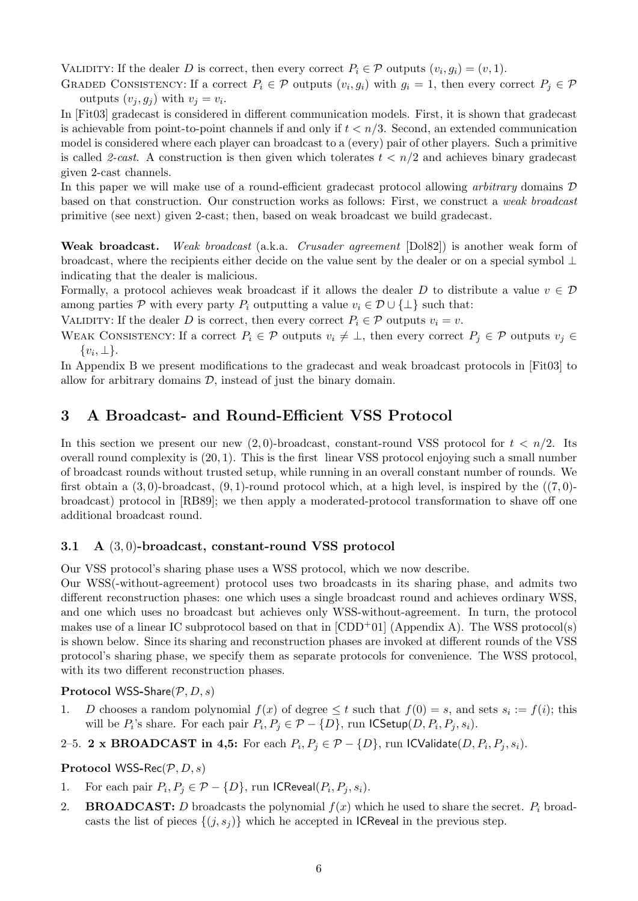VALIDITY: If the dealer *D* is correct, then every correct  $P_i \in \mathcal{P}$  outputs  $(v_i, g_i) = (v, 1)$ .

GRADED CONSISTENCY: If a correct  $P_i \in \mathcal{P}$  outputs  $(v_i, g_i)$  with  $g_i = 1$ , then every correct  $P_j \in \mathcal{P}$ outputs  $(v_j, g_j)$  with  $v_j = v_i$ .

In [Fit03] gradecast is considered in different communication models. First, it is shown that gradecast is achievable from point-to-point channels if and only if *t < n/*3. Second, an extended communication model is considered where each player can broadcast to a (every) pair of other players. Such a primitive is called *2-cast*. A construction is then given which tolerates  $t < n/2$  and achieves binary gradecast given 2-cast channels.

In this paper we will make use of a round-efficient gradecast protocol allowing *arbitrary* domains *D* based on that construction. Our construction works as follows: First, we construct a *weak broadcast* primitive (see next) given 2-cast; then, based on weak broadcast we build gradecast.

**Weak broadcast.** *Weak broadcast* (a.k.a. *Crusader agreement* [Dol82]) is another weak form of broadcast, where the recipients either decide on the value sent by the dealer or on a special symbol *⊥* indicating that the dealer is malicious.

Formally, a protocol achieves weak broadcast if it allows the dealer *D* to distribute a value  $v \in \mathcal{D}$ among parties  $\mathcal P$  with every party  $P_i$  outputting a value  $v_i \in \mathcal D \cup \{\perp\}$  such that:

VALIDITY: If the dealer *D* is correct, then every correct  $P_i \in \mathcal{P}$  outputs  $v_i = v$ .

WEAK CONSISTENCY: If a correct  $P_i \in \mathcal{P}$  outputs  $v_i \neq \bot$ , then every correct  $P_i \in \mathcal{P}$  outputs  $v_j \in \mathcal{P}$ *{v<sup>i</sup> , ⊥}*.

In Appendix B we present modifications to the gradecast and weak broadcast protocols in [Fit03] to allow for arbitrary domains *D*, instead of just the binary domain.

### **3 A Broadcast- and Round-Efficient VSS Protocol**

In this section we present our new  $(2,0)$ -broadcast, constant-round VSS protocol for  $t < n/2$ . Its overall round complexity is (20*,* 1). This is the first linear VSS protocol enjoying such a small number of broadcast rounds without trusted setup, while running in an overall constant number of rounds. We first obtain a (3*,* 0)-broadcast, (9*,* 1)-round protocol which, at a high level, is inspired by the ((7*,* 0) broadcast) protocol in [RB89]; we then apply a moderated-protocol transformation to shave off one additional broadcast round.

#### **3.1 A** (3*,* 0)**-broadcast, constant-round VSS protocol**

Our VSS protocol's sharing phase uses a WSS protocol, which we now describe.

Our WSS(-without-agreement) protocol uses two broadcasts in its sharing phase, and admits two different reconstruction phases: one which uses a single broadcast round and achieves ordinary WSS, and one which uses no broadcast but achieves only WSS-without-agreement. In turn, the protocol makes use of a linear IC subprotocol based on that in  $[CDD<sup>+</sup>01]$  (Appendix A). The WSS protocol(s) is shown below. Since its sharing and reconstruction phases are invoked at different rounds of the VSS protocol's sharing phase, we specify them as separate protocols for convenience. The WSS protocol, with its two different reconstruction phases.

**Protocol** WSS**-**Share(*P, D, s*)

1. *D* chooses a random polynomial  $f(x)$  of degree  $\leq t$  such that  $f(0) = s$ , and sets  $s_i := f(i)$ ; this will be  $P_i$ 's share. For each pair  $P_i, P_j \in \mathcal{P} - \{D\}$ , run  $\mathsf{ICSetup}(D, P_i, P_j, s_i)$ .

2–5. **2 x BROADCAST in 4,5:** For each  $P_i, P_j \in \mathcal{P} - \{D\}$ , run ICValidate $(D, P_i, P_j, s_i)$ .

#### **Protocol** WSS**-**Rec(*P, D, s*)

- 1. For each pair  $P_i, P_j \in \mathcal{P} \{D\}$ , run ICReveal( $P_i, P_j, s_i$ ).
- 2. **BROADCAST:** *D* broadcasts the polynomial  $f(x)$  which he used to share the secret.  $P_i$  broadcasts the list of pieces  $\{(j, s_j)\}$  which he accepted in ICReveal in the previous step.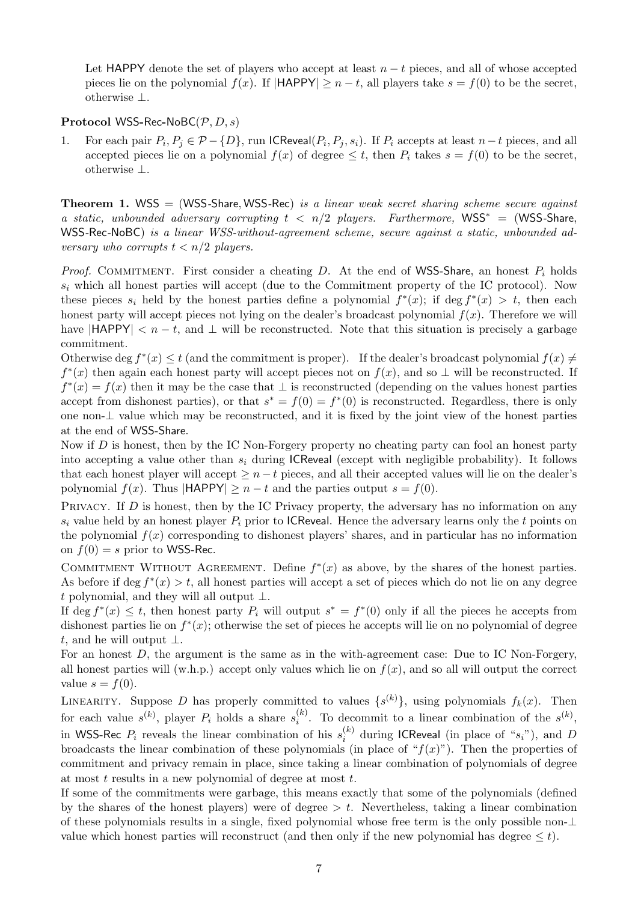Let HAPPY denote the set of players who accept at least *n − t* pieces, and all of whose accepted pieces lie on the polynomial  $f(x)$ . If  $|HAPPY| \geq n-t$ , all players take  $s = f(0)$  to be the secret, otherwise *⊥*.

#### **Protocol** WSS**-**Rec**-**NoBC(*P, D, s*)

1. For each pair  $P_i, P_j \in \mathcal{P} - \{D\}$ , run ICReveal $(P_i, P_j, s_i)$ . If  $P_i$  accepts at least  $n-t$  pieces, and all accepted pieces lie on a polynomial  $f(x)$  of degree  $\leq t$ , then  $P_i$  takes  $s = f(0)$  to be the secret, otherwise *⊥*.

**Theorem 1.** WSS = (WSS*-*Share*,* WSS*-*Rec) *is a linear weak secret sharing scheme secure against a static, unbounded adversary corrupting t < n/*2 *players. Furthermore,* WSS*∗* = (WSS*-*Share*,* WSS*-*Rec*-*NoBC) *is a linear WSS-without-agreement scheme, secure against a static, unbounded adversary who corrupts*  $t < n/2$  *players.* 

*Proof.* COMMITMENT. First consider a cheating *D*. At the end of WSS-Share, an honest  $P_i$  holds  $s_i$  which all honest parties will accept (due to the Commitment property of the IC protocol). Now these pieces  $s_i$  held by the honest parties define a polynomial  $f^*(x)$ ; if deg  $f^*(x) > t$ , then each honest party will accept pieces not lying on the dealer's broadcast polynomial *f*(*x*). Therefore we will have  $|HAPPY| < n-t$ , and  $\perp$  will be reconstructed. Note that this situation is precisely a garbage commitment.

Otherwise deg  $f^*(x) \le t$  (and the commitment is proper). If the dealer's broadcast polynomial  $f(x) \ne$  $f^*(x)$  then again each honest party will accept pieces not on  $f(x)$ , and so  $\perp$  will be reconstructed. If  $f^*(x) = f(x)$  then it may be the case that  $\perp$  is reconstructed (depending on the values honest parties accept from dishonest parties), or that  $s^* = f(0) = f^*(0)$  is reconstructed. Regardless, there is only one non-*⊥* value which may be reconstructed, and it is fixed by the joint view of the honest parties at the end of WSS-Share.

Now if *D* is honest, then by the IC Non-Forgery property no cheating party can fool an honest party into accepting a value other than *s<sup>i</sup>* during ICReveal (except with negligible probability). It follows that each honest player will accept  $\geq n-t$  pieces, and all their accepted values will lie on the dealer's polynomial  $f(x)$ . Thus  $|HAPPY| \geq n - t$  and the parties output  $s = f(0)$ .

PRIVACY. If *D* is honest, then by the IC Privacy property, the adversary has no information on any  $s_i$  value held by an honest player  $P_i$  prior to ICReveal. Hence the adversary learns only the *t* points on the polynomial  $f(x)$  corresponding to dishonest players' shares, and in particular has no information on  $f(0) = s$  prior to WSS-Rec.

COMMITMENT WITHOUT AGREEMENT. Define  $f^*(x)$  as above, by the shares of the honest parties. As before if deg  $f^*(x) > t$ , all honest parties will accept a set of pieces which do not lie on any degree *t* polynomial, and they will all output *⊥*.

If deg  $f^*(x) \leq t$ , then honest party  $P_i$  will output  $s^* = f^*(0)$  only if all the pieces he accepts from dishonest parties lie on *f ∗* (*x*); otherwise the set of pieces he accepts will lie on no polynomial of degree *t*, and he will output *⊥*.

For an honest *D*, the argument is the same as in the with-agreement case: Due to IC Non-Forgery, all honest parties will  $(w.h.p.)$  accept only values which lie on  $f(x)$ , and so all will output the correct value  $s = f(0)$ .

LINEARITY. Suppose *D* has properly committed to values  $\{s^{(k)}\}$ , using polynomials  $f_k(x)$ . Then for each value  $s^{(k)}$ , player  $P_i$  holds a share  $s_i^{(k)}$  $i^{(k)}$ . To decommit to a linear combination of the  $s^{(k)}$ , in WSS-Rec  $P_i$  reveals the linear combination of his  $s_i^{(k)}$  $\mathcal{L}_i^{(k)}$  during **ICReveal** (in place of " $s_i$ "), and *D* broadcasts the linear combination of these polynomials (in place of " $f(x)$ "). Then the properties of commitment and privacy remain in place, since taking a linear combination of polynomials of degree at most *t* results in a new polynomial of degree at most *t*.

If some of the commitments were garbage, this means exactly that some of the polynomials (defined by the shares of the honest players) were of degree  $>t$ . Nevertheless, taking a linear combination of these polynomials results in a single, fixed polynomial whose free term is the only possible non-*⊥* value which honest parties will reconstruct (and then only if the new polynomial has degree  $\leq t$ ).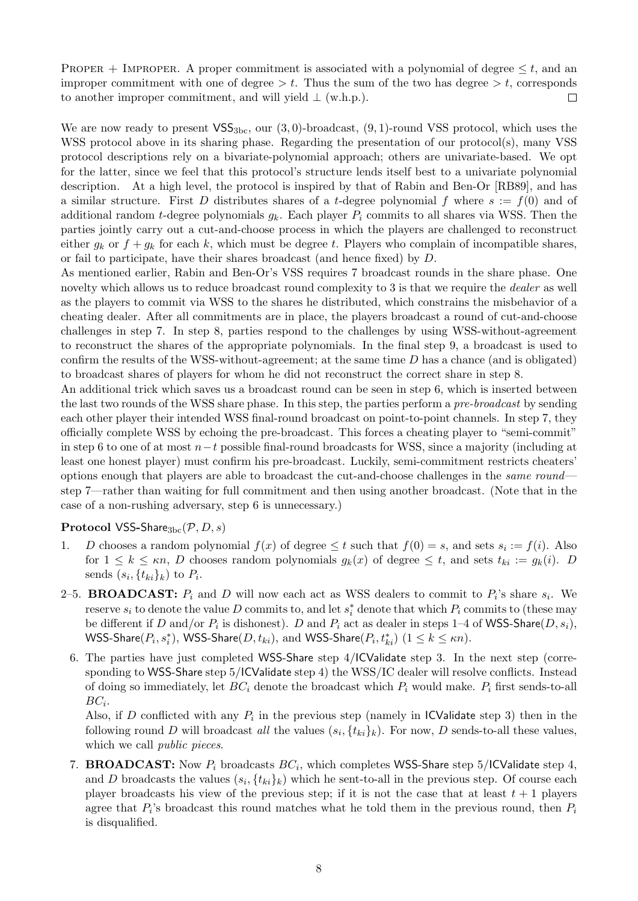PROPER + IMPROPER. A proper commitment is associated with a polynomial of degree  $\leq t$ , and an improper commitment with one of degree  $>t$ . Thus the sum of the two has degree  $>t$ , corresponds to another improper commitment, and will yield *⊥* (w.h.p.).  $\Box$ 

We are now ready to present  $VSS<sub>3bc</sub>$ , our  $(3,0)$ -broadcast,  $(9,1)$ -round VSS protocol, which uses the WSS protocol above in its sharing phase. Regarding the presentation of our protocol(s), many VSS protocol descriptions rely on a bivariate-polynomial approach; others are univariate-based. We opt for the latter, since we feel that this protocol's structure lends itself best to a univariate polynomial description. At a high level, the protocol is inspired by that of Rabin and Ben-Or [RB89], and has a similar structure. First *D* distributes shares of a *t*-degree polynomial *f* where *s* := *f*(0) and of additional random *t*-degree polynomials  $g_k$ . Each player  $P_i$  commits to all shares via WSS. Then the parties jointly carry out a cut-and-choose process in which the players are challenged to reconstruct either  $g_k$  or  $f + g_k$  for each  $k$ , which must be degree  $t$ . Players who complain of incompatible shares, or fail to participate, have their shares broadcast (and hence fixed) by *D*.

As mentioned earlier, Rabin and Ben-Or's VSS requires 7 broadcast rounds in the share phase. One novelty which allows us to reduce broadcast round complexity to 3 is that we require the *dealer* as well as the players to commit via WSS to the shares he distributed, which constrains the misbehavior of a cheating dealer. After all commitments are in place, the players broadcast a round of cut-and-choose challenges in step 7. In step 8, parties respond to the challenges by using WSS-without-agreement to reconstruct the shares of the appropriate polynomials. In the final step 9, a broadcast is used to confirm the results of the WSS-without-agreement; at the same time *D* has a chance (and is obligated) to broadcast shares of players for whom he did not reconstruct the correct share in step 8.

An additional trick which saves us a broadcast round can be seen in step 6, which is inserted between the last two rounds of the WSS share phase. In this step, the parties perform a *pre-broadcast* by sending each other player their intended WSS final-round broadcast on point-to-point channels. In step 7, they officially complete WSS by echoing the pre-broadcast. This forces a cheating player to "semi-commit" in step 6 to one of at most *n−t* possible final-round broadcasts for WSS, since a majority (including at least one honest player) must confirm his pre-broadcast. Luckily, semi-commitment restricts cheaters' options enough that players are able to broadcast the cut-and-choose challenges in the *same round* step 7—rather than waiting for full commitment and then using another broadcast. (Note that in the case of a non-rushing adversary, step 6 is unnecessary.)

#### **Protocol** VSS**-**Share3bc(*P, D, s*)

- 1. *D* chooses a random polynomial  $f(x)$  of degree  $\leq t$  such that  $f(0) = s$ , and sets  $s_i := f(i)$ . Also for  $1 \leq k \leq \kappa n$ , *D* chooses random polynomials  $g_k(x)$  of degree  $\leq t$ , and sets  $t_{ki} := g_k(i)$ . *D* sends  $(s_i, \{t_{ki}\}_k)$  to  $P_i$ .
- 2–5. **BROADCAST:**  $P_i$  and  $D$  will now each act as WSS dealers to commit to  $P_i$ 's share  $s_i$ . We reserve  $s_i$  to denote the value  $D$  commits to, and let  $s_i^*$  denote that which  $P_i$  commits to (these may be different if  $D$  and/or  $P_i$  is dishonest).  $D$  and  $P_i$  act as dealer in steps 1–4 of WSS-Share $(D, s_i)$ ,  $\mathsf{WSS\text{-}Share}(P_i, s_i^*), \mathsf{WSS\text{-}Share}(D, t_{ki}), \text{ and } \mathsf{WSS\text{-}Share}(P_i, t_{ki}^*) \; (1 \leq k \leq \kappa n).$ 
	- 6. The parties have just completed WSS-Share step 4/ICValidate step 3. In the next step (corresponding to WSS-Share step 5/ICValidate step 4) the WSS/IC dealer will resolve conflicts. Instead of doing so immediately, let *BC<sup>i</sup>* denote the broadcast which *P<sup>i</sup>* would make. *P<sup>i</sup>* first sends-to-all  $BC_i$ .

Also, if *D* conflicted with any  $P_i$  in the previous step (namely in ICValidate step 3) then in the following round *D* will broadcast *all* the values  $(s_i, \{t_{ki}\}_k)$ . For now, *D* sends-to-all these values, which we call *public pieces*.

7. **BROADCAST:** Now *P<sup>i</sup>* broadcasts *BC<sup>i</sup>* , which completes WSS-Share step 5/ICValidate step 4, and *D* broadcasts the values  $(s_i, \{t_{ki}\}_k)$  which he sent-to-all in the previous step. Of course each player broadcasts his view of the previous step; if it is not the case that at least  $t + 1$  players agree that *P<sup>i</sup>* 's broadcast this round matches what he told them in the previous round, then *P<sup>i</sup>* is disqualified.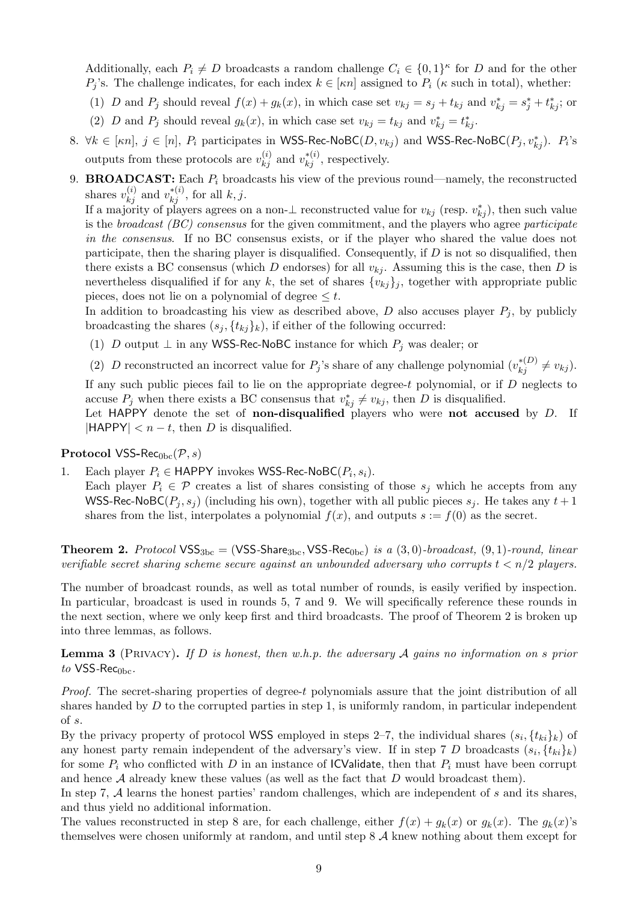Additionally, each  $P_i \neq D$  broadcasts a random challenge  $C_i \in \{0,1\}^{\kappa}$  for *D* and for the other *P*<sup>*j*</sup>'s. The challenge indicates, for each index  $k \in [\kappa n]$  assigned to  $P_i$  ( $\kappa$  such in total), whether:

- (1) D and  $P_j$  should reveal  $f(x) + g_k(x)$ , in which case set  $v_{kj} = s_j + t_{kj}$  and  $v_{kj}^* = s_j^* + t_{kj}^*$ ; or
- (2) *D* and  $P_j$  should reveal  $g_k(x)$ , in which case set  $v_{kj} = t_{kj}$  and  $v_{kj}^* = t_{kj}^*$ .
- 8.  $\forall k \in [\kappa n], j \in [n], P_i$  participates in WSS-Rec-NoBC $(D, v_{kj})$  and WSS-Rec-NoBC $(P_j, v_{kj}^*)$ .  $P_i$ 's outputs from these protocols are  $v_{kj}^{(i)}$  and  $v_{kj}^{*(i)}$ , respectively.
- 9. **BROADCAST:** Each *P<sup>i</sup>* broadcasts his view of the previous round—namely, the reconstructed shares  $v_{kj}^{(i)}$  and  $v_{kj}^{*(i)}$ , for all  $k, j$ .

If a majority of players agrees on a non- $\perp$  reconstructed value for  $v_{kj}$  (resp.  $v_{kj}^*$ ), then such value is the *broadcast (BC) consensus* for the given commitment, and the players who agree *participate in the consensus*. If no BC consensus exists, or if the player who shared the value does not participate, then the sharing player is disqualified. Consequently, if *D* is not so disqualified, then there exists a BC consensus (which *D* endorses) for all  $v_{kj}$ . Assuming this is the case, then *D* is nevertheless disqualified if for any *k*, the set of shares  $\{v_{kj}\}_j$ , together with appropriate public pieces, does not lie on a polynomial of degree  $\leq t$ .

In addition to broadcasting his view as described above, *D* also accuses player  $P_i$ , by publicly broadcasting the shares  $(s_j, \{t_k\}_k)$ , if either of the following occurred:

- (1) *D* output *⊥* in any WSS-Rec-NoBC instance for which *P<sup>j</sup>* was dealer; or
- (2) *D* reconstructed an incorrect value for  $P_j$ 's share of any challenge polynomial  $(v_{kj}^{*(D)} \neq v_{kj})$ .

If any such public pieces fail to lie on the appropriate degree-*t* polynomial, or if *D* neglects to accuse  $P_j$  when there exists a BC consensus that  $v_{kj}^* \neq v_{kj}$ , then *D* is disqualified.

Let HAPPY denote the set of **non-disqualified** players who were **not accused** by *D*. If  $|HAPPY| < n - t$ , then *D* is disqualified.

**Protocol** VSS-Rec<sub>0bc</sub>( $P$ *, s*)

- 1. Each player  $P_i \in \text{HAPPY}$  invokes WSS-Rec-NoBC( $P_i, s_i$ ).
- Each player  $P_i \in \mathcal{P}$  creates a list of shares consisting of those  $s_j$  which he accepts from any WSS-Rec-NoBC( $P_j$ ,  $s_j$ ) (including his own), together with all public pieces  $s_j$ . He takes any  $t+1$ shares from the list, interpolates a polynomial  $f(x)$ , and outputs  $s := f(0)$  as the secret.

**Theorem 2.** *Protocol*  $VSS<sub>3bc</sub> = (VSS-Share<sub>3bc</sub>, VSS-Rec<sub>0bc</sub>)$  *is a* (3,0)*-broadcast*, (9,1)*-round, linear verifiable secret sharing scheme secure against an unbounded adversary who corrupts*  $t < n/2$  *players.* 

The number of broadcast rounds, as well as total number of rounds, is easily verified by inspection. In particular, broadcast is used in rounds 5, 7 and 9. We will specifically reference these rounds in the next section, where we only keep first and third broadcasts. The proof of Theorem 2 is broken up into three lemmas, as follows.

**Lemma 3** (PRIVACY). If D is honest, then w.h.p. the adversary  $A$  gains no information on  $s$  prior *to* VSS-Rec<sub>0bc</sub>.

*Proof.* The secret-sharing properties of degree-*t* polynomials assure that the joint distribution of all shares handed by *D* to the corrupted parties in step 1, is uniformly random, in particular independent of *s*.

By the privacy property of protocol WSS employed in steps 2–7, the individual shares  $(s_i, \{t_{ki}\}_k)$  of any honest party remain independent of the adversary's view. If in step 7 *D* broadcasts  $(s_i, \{t_{ki}\}_k)$ for some  $P_i$  who conflicted with  $D$  in an instance of ICValidate, then that  $P_i$  must have been corrupt and hence  $A$  already knew these values (as well as the fact that  $D$  would broadcast them).

In step 7, *A* learns the honest parties' random challenges, which are independent of *s* and its shares, and thus yield no additional information.

The values reconstructed in step 8 are, for each challenge, either  $f(x) + g_k(x)$  or  $g_k(x)$ . The  $g_k(x)$ 's themselves were chosen uniformly at random, and until step 8 *A* knew nothing about them except for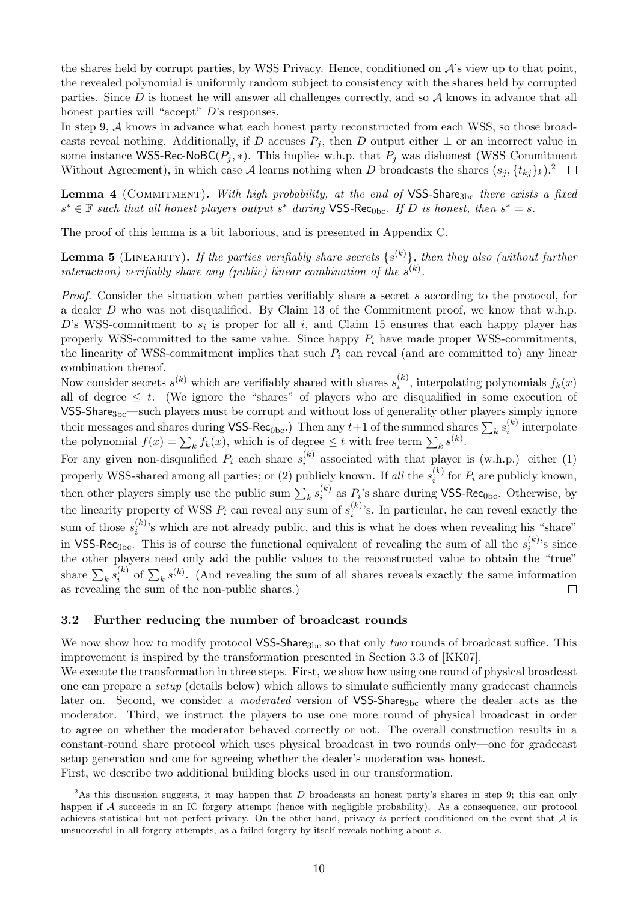the shares held by corrupt parties, by WSS Privacy. Hence, conditioned on *A*'s view up to that point, the revealed polynomial is uniformly random subject to consistency with the shares held by corrupted parties. Since *D* is honest he will answer all challenges correctly, and so *A* knows in advance that all honest parties will "accept" *D*'s responses.

In step 9, *A* knows in advance what each honest party reconstructed from each WSS, so those broadcasts reveal nothing. Additionally, if *D* accuses  $P_j$ , then *D* output either  $\perp$  or an incorrect value in some instance WSS-Rec-NoBC( $P_j$ ,  $*$ ). This implies w.h.p. that  $P_j$  was dishonest (WSS Commitment Without Agreement), in which case *A* learns nothing when *D* broadcasts the shares  $(s_i, \{t_{ki}\}_k)$ .<sup>2</sup>  $\Box$ 

**Lemma 4** (Commitment)**.** *With high probability, at the end of* VSS*-*Share3bc *there exists a fixed*  $s^* \in \mathbb{F}$  such that all honest players output  $s^*$  during VSS-Rec<sub>0bc</sub>. If D is honest, then  $s^* = s$ .

The proof of this lemma is a bit laborious, and is presented in Appendix C.

**Lemma 5** (LINEARITY). If the parties verifiably share secrets  $\{s^{(k)}\}$ , then they also (without further *interaction) verifiably share any (public) linear combination of the*  $s^{(k)}$ .

*Proof.* Consider the situation when parties verifiably share a secret *s* according to the protocol, for a dealer *D* who was not disqualified. By Claim 13 of the Commitment proof, we know that w.h.p.  $D$ 's WSS-commitment to  $s_i$  is proper for all *i*, and Claim 15 ensures that each happy player has properly WSS-committed to the same value. Since happy  $P_i$  have made proper WSS-commitments, the linearity of WSS-commitment implies that such  $P_i$  can reveal (and are committed to) any linear combination thereof.

Now consider secrets  $s^{(k)}$  which are verifiably shared with shares  $s_i^{(k)}$  $f_k^{(k)}$ , interpolating polynomials  $f_k(x)$ all of degree  $\leq t$ . (We ignore the "shares" of players who are disqualified in some execution of VSS-Share<sub>3bc</sub>—such players must be corrupt and without loss of generality other players simply ignore their messages and shares during VSS-Rec<sub>0bc</sub>.) Then any  $t+1$  of the summed shares  $\sum_k s_i^{(k)}$  $i^{(k)}$  interpolate the polynomial  $f(x) = \sum_{k} f_k(x)$ , which is of degree  $\leq t$  with free term  $\sum_{k} s^{(k)}$ .

For any given non-disqualified  $P_i$  each share  $s_i^{(k)}$  $i^{(k)}$  associated with that player is (w.h.p.) either (1) properly WSS-shared among all parties; or  $(2)$  publicly known. If *all* the  $s_i^{(k)}$  $i^{(k)}$  for  $P_i$  are publicly known, then other players simply use the public sum  $\sum_{k} s_i^{(k)}$  $I_i^{(k)}$  as  $P_i$ 's share during VSS-Rec<sub>0bc</sub>. Otherwise, by the linearity property of WSS  $P_i$  can reveal any sum of  $s_i^{(k)}$  $i^{(k)}$ 's. In particular, he can reveal exactly the sum of those  $s_i^{(k)}$  $i<sup>(k)</sup>$ 's which are not already public, and this is what he does when revealing his "share" in VSS-Rec<sub>0bc</sub>. This is of course the functional equivalent of revealing the sum of all the  $s_i^{(k)}$  $i^{(\kappa)}$ 's since the other players need only add the public values to the reconstructed value to obtain the "true" share  $\sum_{k} s_i^{(k)}$  $\binom{k}{i}$  of  $\sum_{k} s^{(k)}$ . (And revealing the sum of all shares reveals exactly the same information as revealing the sum of the non-public shares.)  $\Box$ 

#### **3.2 Further reducing the number of broadcast rounds**

We now show how to modify protocol VSS-Share<sub>3bc</sub> so that only *two* rounds of broadcast suffice. This improvement is inspired by the transformation presented in Section 3.3 of [KK07].

We execute the transformation in three steps. First, we show how using one round of physical broadcast one can prepare a *setup* (details below) which allows to simulate sufficiently many gradecast channels later on. Second, we consider a *moderated* version of VSS-Share<sub>3bc</sub> where the dealer acts as the moderator. Third, we instruct the players to use one more round of physical broadcast in order to agree on whether the moderator behaved correctly or not. The overall construction results in a constant-round share protocol which uses physical broadcast in two rounds only—one for gradecast setup generation and one for agreeing whether the dealer's moderation was honest.

First, we describe two additional building blocks used in our transformation.

<sup>&</sup>lt;sup>2</sup>As this discussion suggests, it may happen that *D* broadcasts an honest party's shares in step 9; this can only happen if *A* succeeds in an IC forgery attempt (hence with negligible probability). As a consequence, our protocol achieves statistical but not perfect privacy. On the other hand, privacy *is* perfect conditioned on the event that *A* is unsuccessful in all forgery attempts, as a failed forgery by itself reveals nothing about *s*.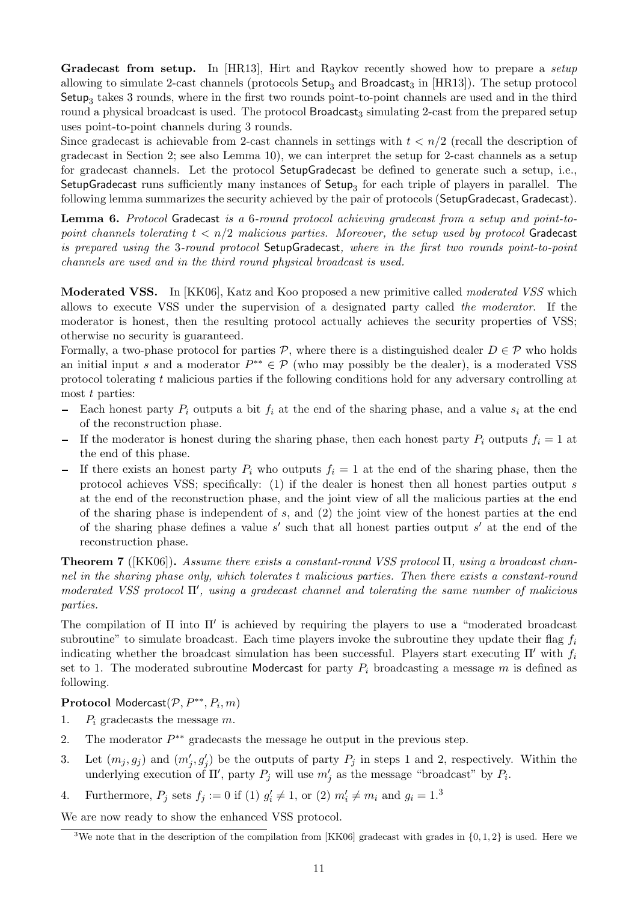**Gradecast from setup.** In [HR13], Hirt and Raykov recently showed how to prepare a *setup* allowing to simulate 2-cast channels (protocols  $\mathsf{Setup}_3$  and  $\mathsf{Broadcast}_3$  in [HR13]). The setup protocol Setup<sub>3</sub> takes 3 rounds, where in the first two rounds point-to-point channels are used and in the third round a physical broadcast is used. The protocol Broadcast<sub>3</sub> simulating 2-cast from the prepared setup uses point-to-point channels during 3 rounds.

Since gradecast is achievable from 2-cast channels in settings with  $t < n/2$  (recall the description of gradecast in Section 2; see also Lemma 10), we can interpret the setup for 2-cast channels as a setup for gradecast channels. Let the protocol SetupGradecast be defined to generate such a setup, i.e.,  $\mathsf{SetupGradecast}$  runs sufficiently many instances of  $\mathsf{Setup}_3$  for each triple of players in parallel. The following lemma summarizes the security achieved by the pair of protocols (SetupGradecast*,* Gradecast).

**Lemma 6.** *Protocol* Gradecast *is a* 6*-round protocol achieving gradecast from a setup and point-topoint channels tolerating*  $t < n/2$  *malicious parties. Moreover, the setup used by protocol* Gradecast *is prepared using the* 3*-round protocol* SetupGradecast*, where in the first two rounds point-to-point channels are used and in the third round physical broadcast is used.*

**Moderated VSS.** In [KK06], Katz and Koo proposed a new primitive called *moderated VSS* which allows to execute VSS under the supervision of a designated party called *the moderator*. If the moderator is honest, then the resulting protocol actually achieves the security properties of VSS; otherwise no security is guaranteed.

Formally, a two-phase protocol for parties  $P$ , where there is a distinguished dealer  $D \in \mathcal{P}$  who holds an initial input *s* and a moderator  $P^{**} \in \mathcal{P}$  (who may possibly be the dealer), is a moderated VSS protocol tolerating *t* malicious parties if the following conditions hold for any adversary controlling at most *t* parties:

- Each honest party  $P_i$  outputs a bit  $f_i$  at the end of the sharing phase, and a value  $s_i$  at the end  $\overline{\phantom{0}}$ of the reconstruction phase.
- If the moderator is honest during the sharing phase, then each honest party  $P_i$  outputs  $f_i = 1$  at the end of this phase.
- If there exists an honest party  $P_i$  who outputs  $f_i = 1$  at the end of the sharing phase, then the protocol achieves VSS; specifically: (1) if the dealer is honest then all honest parties output *s* at the end of the reconstruction phase, and the joint view of all the malicious parties at the end of the sharing phase is independent of *s*, and (2) the joint view of the honest parties at the end of the sharing phase defines a value *s ′* such that all honest parties output *s ′* at the end of the reconstruction phase.

**Theorem 7** ([KK06])**.** *Assume there exists a constant-round VSS protocol* Π*, using a broadcast channel in the sharing phase only, which tolerates t malicious parties. Then there exists a constant-round moderated VSS protocol* Π*′ , using a gradecast channel and tolerating the same number of malicious parties.*

The compilation of Π into Π*′* is achieved by requiring the players to use a "moderated broadcast subroutine" to simulate broadcast. Each time players invoke the subroutine they update their flag *f<sup>i</sup>* indicating whether the broadcast simulation has been successful. Players start executing  $\Pi'$  with  $f_i$ set to 1. The moderated subroutine Modercast for party *P<sup>i</sup>* broadcasting a message *m* is defined as following.

#### **Protocol** Modercast(*P, P∗∗, P<sup>i</sup> , m*)

- 1. *P<sup>i</sup>* gradecasts the message *m*.
- 2. The moderator *P ∗∗* gradecasts the message he output in the previous step.
- 3. Let  $(m_j, g_j)$  and  $(m'_j, g'_j)$  be the outputs of party  $P_j$  in steps 1 and 2, respectively. Within the underlying execution of  $\Pi'$ , party  $P_j$  will use  $m'_j$  as the message "broadcast" by  $P_i$ .
- 4. Furthermore,  $P_j$  sets  $f_j := 0$  if (1)  $g'_i \neq 1$ , or (2)  $m'_i \neq m_i$  and  $g_i = 1$ .<sup>3</sup>

We are now ready to show the enhanced VSS protocol.

<sup>3</sup>We note that in the description of the compilation from [KK06] gradecast with grades in *{*0*,* 1*,* 2*}* is used. Here we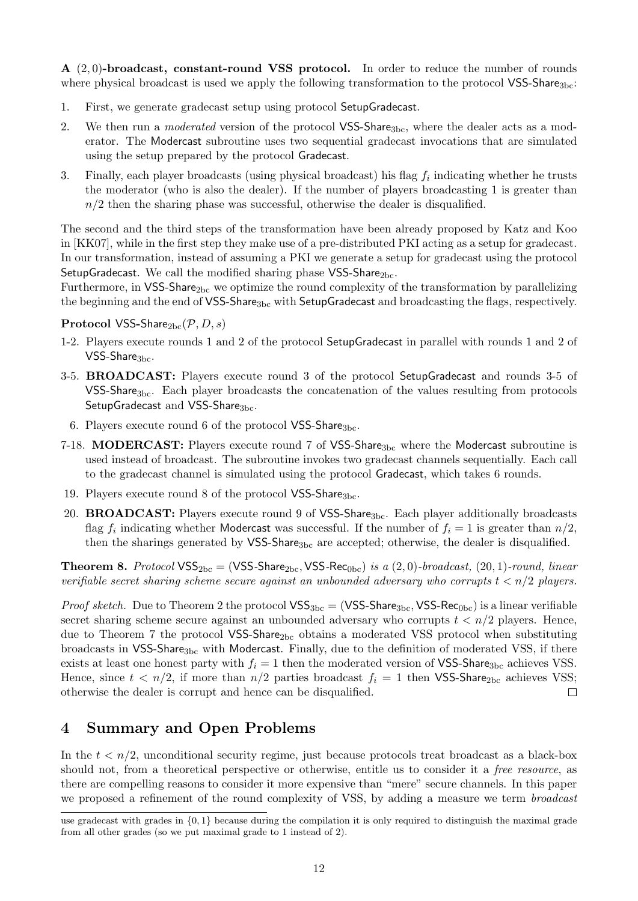**A** (2*,* 0)**-broadcast, constant-round VSS protocol.** In order to reduce the number of rounds where physical broadcast is used we apply the following transformation to the protocol VSS-Share $_{3bc}$ :

- 1. First, we generate gradecast setup using protocol SetupGradecast.
- 2. We then run a *moderated* version of the protocol VSS-Share<sub>3bc</sub>, where the dealer acts as a moderator. The Modercast subroutine uses two sequential gradecast invocations that are simulated using the setup prepared by the protocol Gradecast.
- 3. Finally, each player broadcasts (using physical broadcast) his flag *f<sup>i</sup>* indicating whether he trusts the moderator (who is also the dealer). If the number of players broadcasting 1 is greater than  $n/2$  then the sharing phase was successful, otherwise the dealer is disqualified.

The second and the third steps of the transformation have been already proposed by Katz and Koo in [KK07], while in the first step they make use of a pre-distributed PKI acting as a setup for gradecast. In our transformation, instead of assuming a PKI we generate a setup for gradecast using the protocol SetupGradecast. We call the modified sharing phase VSS-Share $_{2bc}$ .

Furthermore, in VSS-Share<sub>2bc</sub> we optimize the round complexity of the transformation by parallelizing the beginning and the end of VSS-Share<sub>3bc</sub> with SetupGradecast and broadcasting the flags, respectively.

#### **Protocol** VSS-Share<sub>2bc</sub>( $P, D, s$ )

- 1-2. Players execute rounds 1 and 2 of the protocol SetupGradecast in parallel with rounds 1 and 2 of  $VSS\text{-}Share<sub>3bc</sub>$ .
- 3-5. **BROADCAST:** Players execute round 3 of the protocol SetupGradecast and rounds 3-5 of VSS-Share<sub>3bc</sub>. Each player broadcasts the concatenation of the values resulting from protocols SetupGradecast and VSS-Share<sub>3bc</sub>.
	- 6. Players execute round 6 of the protocol VSS-Share $_{3bc}$ .
- 7-18. **MODERCAST:** Players execute round 7 of VSS-Share<sub>3bc</sub> where the Modercast subroutine is used instead of broadcast. The subroutine invokes two gradecast channels sequentially. Each call to the gradecast channel is simulated using the protocol Gradecast, which takes 6 rounds.
- 19. Players execute round 8 of the protocol VSS-Share $_{3bc}$ .
- 20. **BROADCAST:** Players execute round 9 of VSS-Share<sub>3bc</sub>. Each player additionally broadcasts flag  $f_i$  indicating whether Modercast was successful. If the number of  $f_i = 1$  is greater than  $n/2$ , then the sharings generated by VSS-Share<sub>3bc</sub> are accepted; otherwise, the dealer is disqualified.

**Theorem 8.** *Protocol*  $VSS<sub>2bc</sub> = (VSS-Share<sub>2bc</sub>, VSS-Rec<sub>0bc</sub>)$  *is a* (2*,* 0*)*-*broadcast,* (20*,* 1*)*-*round, linear verifiable secret sharing scheme secure against an unbounded adversary who corrupts*  $t < n/2$  *players.* 

*Proof sketch.* Due to Theorem 2 the protocol  $VSS_{3bc} = (VSS\text{-}Share_{3bc}, VSS\text{-}Rec_{0bc})$  is a linear verifiable secret sharing scheme secure against an unbounded adversary who corrupts  $t < n/2$  players. Hence, due to Theorem 7 the protocol VSS-Share<sub>2bc</sub> obtains a moderated VSS protocol when substituting broadcasts in VSS-Share<sub>3bc</sub> with Modercast. Finally, due to the definition of moderated VSS, if there exists at least one honest party with  $f_i = 1$  then the moderated version of VSS-Share<sub>3bc</sub> achieves VSS. Hence, since  $t < n/2$ , if more than  $n/2$  parties broadcast  $f_i = 1$  then VSS-Share<sub>2bc</sub> achieves VSS; otherwise the dealer is corrupt and hence can be disqualified.  $\Box$ 

### **4 Summary and Open Problems**

In the  $t < n/2$ , unconditional security regime, just because protocols treat broadcast as a black-box should not, from a theoretical perspective or otherwise, entitle us to consider it a *free resource*, as there are compelling reasons to consider it more expensive than "mere" secure channels. In this paper we proposed a refinement of the round complexity of VSS, by adding a measure we term *broadcast*

use gradecast with grades in *{*0*,* 1*}* because during the compilation it is only required to distinguish the maximal grade from all other grades (so we put maximal grade to 1 instead of 2).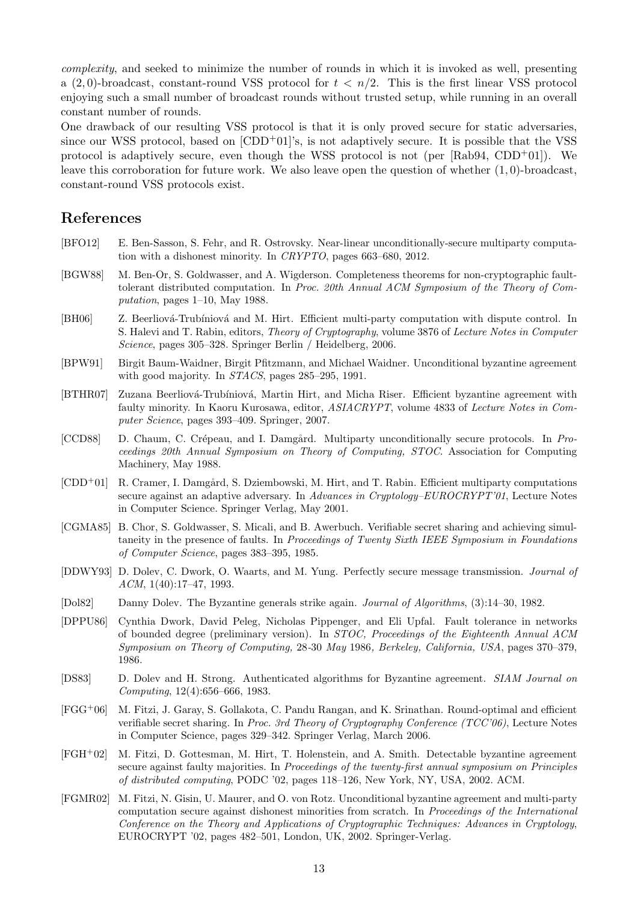*complexity*, and seeked to minimize the number of rounds in which it is invoked as well, presenting a  $(2,0)$ -broadcast, constant-round VSS protocol for  $t < n/2$ . This is the first linear VSS protocol enjoying such a small number of broadcast rounds without trusted setup, while running in an overall constant number of rounds.

One drawback of our resulting VSS protocol is that it is only proved secure for static adversaries, since our WSS protocol, based on  $[CDD+01]$ 's, is not adaptively secure. It is possible that the VSS protocol is adaptively secure, even though the WSS protocol is not (per  $[Rab94, CDD<sup>+</sup>01]$ ). We leave this corroboration for future work. We also leave open the question of whether (1*,* 0)-broadcast, constant-round VSS protocols exist.

### **References**

- [BFO12] E. Ben-Sasson, S. Fehr, and R. Ostrovsky. Near-linear unconditionally-secure multiparty computation with a dishonest minority. In *CRYPTO*, pages 663–680, 2012.
- [BGW88] M. Ben-Or, S. Goldwasser, and A. Wigderson. Completeness theorems for non-cryptographic faulttolerant distributed computation. In *Proc. 20th Annual ACM Symposium of the Theory of Computation*, pages 1–10, May 1988.
- [BH06] Z. Beerliová-Trubíniová and M. Hirt. Efficient multi-party computation with dispute control. In S. Halevi and T. Rabin, editors, *Theory of Cryptography*, volume 3876 of *Lecture Notes in Computer Science*, pages 305–328. Springer Berlin / Heidelberg, 2006.
- [BPW91] Birgit Baum-Waidner, Birgit Pfitzmann, and Michael Waidner. Unconditional byzantine agreement with good majority. In *STACS*, pages 285–295, 1991.
- [BTHR07] Zuzana Beerliová-Trubíniová, Martin Hirt, and Micha Riser. Efficient byzantine agreement with faulty minority. In Kaoru Kurosawa, editor, *ASIACRYPT*, volume 4833 of *Lecture Notes in Computer Science*, pages 393–409. Springer, 2007.
- [CCD88] D. Chaum, C. Crépeau, and I. Damgård. Multiparty unconditionally secure protocols. In *Proceedings 20th Annual Symposium on Theory of Computing, STOC*. Association for Computing Machinery, May 1988.
- $[CDD+01]$  R. Cramer, I. Damgård, S. Dziembowski, M. Hirt, and T. Rabin. Efficient multiparty computations secure against an adaptive adversary. In *Advances in Cryptology–EUROCRYPT'01*, Lecture Notes in Computer Science. Springer Verlag, May 2001.
- [CGMA85] B. Chor, S. Goldwasser, S. Micali, and B. Awerbuch. Verifiable secret sharing and achieving simultaneity in the presence of faults. In *Proceedings of Twenty Sixth IEEE Symposium in Foundations of Computer Science*, pages 383–395, 1985.
- [DDWY93] D. Dolev, C. Dwork, O. Waarts, and M. Yung. Perfectly secure message transmission. *Journal of ACM*, 1(40):17–47, 1993.
- [Dol82] Danny Dolev. The Byzantine generals strike again. *Journal of Algorithms*, (3):14–30, 1982.
- [DPPU86] Cynthia Dwork, David Peleg, Nicholas Pippenger, and Eli Upfal. Fault tolerance in networks of bounded degree (preliminary version). In *STOC, Proceedings of the Eighteenth Annual ACM Symposium on Theory of Computing,* 28*-*30 *May* 1986*, Berkeley, California, USA*, pages 370–379, 1986.
- [DS83] D. Dolev and H. Strong. Authenticated algorithms for Byzantine agreement. *SIAM Journal on Computing*, 12(4):656–666, 1983.
- [FGG<sup>+</sup>06] M. Fitzi, J. Garay, S. Gollakota, C. Pandu Rangan, and K. Srinathan. Round-optimal and efficient verifiable secret sharing. In *Proc. 3rd Theory of Cryptography Conference (TCC'06)*, Lecture Notes in Computer Science, pages 329–342. Springer Verlag, March 2006.
- [FGH<sup>+</sup>02] M. Fitzi, D. Gottesman, M. Hirt, T. Holenstein, and A. Smith. Detectable byzantine agreement secure against faulty majorities. In *Proceedings of the twenty-first annual symposium on Principles of distributed computing*, PODC '02, pages 118–126, New York, NY, USA, 2002. ACM.
- [FGMR02] M. Fitzi, N. Gisin, U. Maurer, and O. von Rotz. Unconditional byzantine agreement and multi-party computation secure against dishonest minorities from scratch. In *Proceedings of the International Conference on the Theory and Applications of Cryptographic Techniques: Advances in Cryptology*, EUROCRYPT '02, pages 482–501, London, UK, 2002. Springer-Verlag.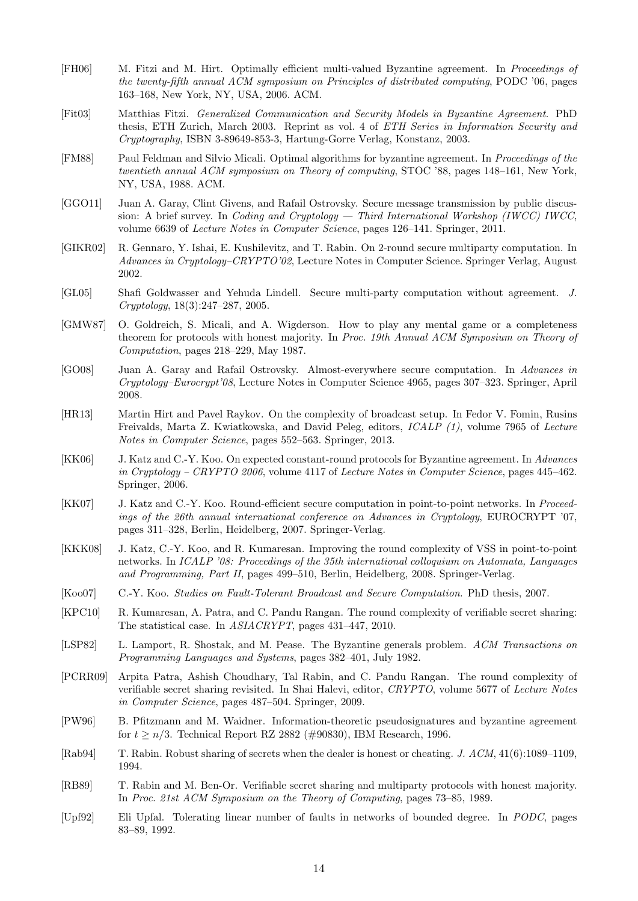- [FH06] M. Fitzi and M. Hirt. Optimally efficient multi-valued Byzantine agreement. In *Proceedings of the twenty-fifth annual ACM symposium on Principles of distributed computing*, PODC '06, pages 163–168, New York, NY, USA, 2006. ACM.
- [Fit03] Matthias Fitzi. *Generalized Communication and Security Models in Byzantine Agreement*. PhD thesis, ETH Zurich, March 2003. Reprint as vol. 4 of *ETH Series in Information Security and Cryptography*, ISBN 3-89649-853-3, Hartung-Gorre Verlag, Konstanz, 2003.
- [FM88] Paul Feldman and Silvio Micali. Optimal algorithms for byzantine agreement. In *Proceedings of the twentieth annual ACM symposium on Theory of computing*, STOC '88, pages 148–161, New York, NY, USA, 1988. ACM.
- [GGO11] Juan A. Garay, Clint Givens, and Rafail Ostrovsky. Secure message transmission by public discussion: A brief survey. In *Coding and Cryptology — Third International Workshop (IWCC) IWCC*, volume 6639 of *Lecture Notes in Computer Science*, pages 126–141. Springer, 2011.
- [GIKR02] R. Gennaro, Y. Ishai, E. Kushilevitz, and T. Rabin. On 2-round secure multiparty computation. In *Advances in Cryptology–CRYPTO'02*, Lecture Notes in Computer Science. Springer Verlag, August 2002.
- [GL05] Shafi Goldwasser and Yehuda Lindell. Secure multi-party computation without agreement. *J. Cryptology*, 18(3):247–287, 2005.
- [GMW87] O. Goldreich, S. Micali, and A. Wigderson. How to play any mental game or a completeness theorem for protocols with honest majority. In *Proc. 19th Annual ACM Symposium on Theory of Computation*, pages 218–229, May 1987.
- [GO08] Juan A. Garay and Rafail Ostrovsky. Almost-everywhere secure computation. In *Advances in Cryptology–Eurocrypt'08*, Lecture Notes in Computer Science 4965, pages 307–323. Springer, April 2008.
- [HR13] Martin Hirt and Pavel Raykov. On the complexity of broadcast setup. In Fedor V. Fomin, Rusins Freivalds, Marta Z. Kwiatkowska, and David Peleg, editors, *ICALP (1)*, volume 7965 of *Lecture Notes in Computer Science*, pages 552–563. Springer, 2013.
- [KK06] J. Katz and C.-Y. Koo. On expected constant-round protocols for Byzantine agreement. In *Advances in Cryptology – CRYPTO 2006*, volume 4117 of *Lecture Notes in Computer Science*, pages 445–462. Springer, 2006.
- [KK07] J. Katz and C.-Y. Koo. Round-efficient secure computation in point-to-point networks. In *Proceedings of the 26th annual international conference on Advances in Cryptology*, EUROCRYPT '07, pages 311–328, Berlin, Heidelberg, 2007. Springer-Verlag.
- [KKK08] J. Katz, C.-Y. Koo, and R. Kumaresan. Improving the round complexity of VSS in point-to-point networks. In *ICALP '08: Proceedings of the 35th international colloquium on Automata, Languages and Programming, Part II*, pages 499–510, Berlin, Heidelberg, 2008. Springer-Verlag.
- [Koo07] C.-Y. Koo. *Studies on Fault-Tolerant Broadcast and Secure Computation*. PhD thesis, 2007.
- [KPC10] R. Kumaresan, A. Patra, and C. Pandu Rangan. The round complexity of verifiable secret sharing: The statistical case. In *ASIACRYPT*, pages 431–447, 2010.
- [LSP82] L. Lamport, R. Shostak, and M. Pease. The Byzantine generals problem. *ACM Transactions on Programming Languages and Systems*, pages 382–401, July 1982.
- [PCRR09] Arpita Patra, Ashish Choudhary, Tal Rabin, and C. Pandu Rangan. The round complexity of verifiable secret sharing revisited. In Shai Halevi, editor, *CRYPTO*, volume 5677 of *Lecture Notes in Computer Science*, pages 487–504. Springer, 2009.
- [PW96] B. Pfitzmann and M. Waidner. Information-theoretic pseudosignatures and byzantine agreement for *t ≥ n/*3. Technical Report RZ 2882 (#90830), IBM Research, 1996.
- [Rab94] T. Rabin. Robust sharing of secrets when the dealer is honest or cheating. *J. ACM*, 41(6):1089–1109, 1994.
- [RB89] T. Rabin and M. Ben-Or. Verifiable secret sharing and multiparty protocols with honest majority. In *Proc. 21st ACM Symposium on the Theory of Computing*, pages 73–85, 1989.
- [Upf92] Eli Upfal. Tolerating linear number of faults in networks of bounded degree. In *PODC*, pages 83–89, 1992.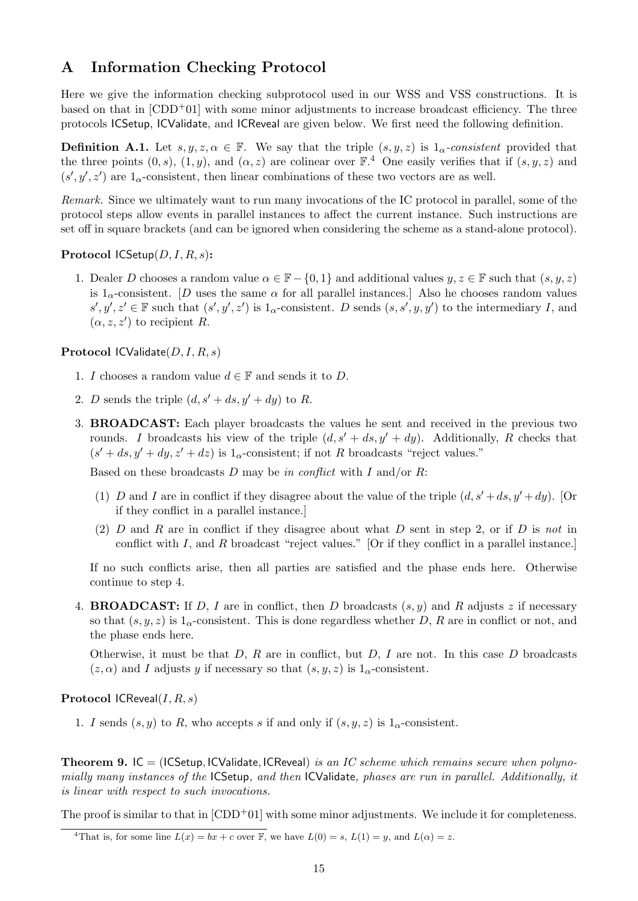## **A Information Checking Protocol**

Here we give the information checking subprotocol used in our WSS and VSS constructions. It is based on that in  $[CDD<sup>+</sup>01]$  with some minor adjustments to increase broadcast efficiency. The three protocols ICSetup, ICValidate, and ICReveal are given below. We first need the following definition.

**Definition A.1.** Let  $s, y, z, \alpha \in \mathbb{F}$ . We say that the triple  $(s, y, z)$  is  $1_{\alpha}$ -consistent provided that the three points  $(0, s)$ ,  $(1, y)$ , and  $(\alpha, z)$  are colinear over  $\mathbb{F}^4$ . One easily verifies that if  $(s, y, z)$  and  $(s', y', z')$  are  $1_{\alpha}$ -consistent, then linear combinations of these two vectors are as well.

*Remark.* Since we ultimately want to run many invocations of the IC protocol in parallel, some of the protocol steps allow events in parallel instances to affect the current instance. Such instructions are set off in square brackets (and can be ignored when considering the scheme as a stand-alone protocol).

#### **Protocol** ICSetup(*D, I, R, s*)**:**

1. Dealer *D* chooses a random value  $\alpha \in \mathbb{F} - \{0, 1\}$  and additional values  $y, z \in \mathbb{F}$  such that  $(s, y, z)$ is  $1_\alpha$ -consistent. [*D* uses the same  $\alpha$  for all parallel instances.] Also he chooses random values  $s', y', z' \in \mathbb{F}$  such that  $(s', y', z')$  is  $1_{\alpha}$ -consistent. D sends  $(s, s', y, y')$  to the intermediary I, and  $(\alpha, z, z')$  to recipient *R*.

#### **Protocol** ICValidate(*D, I, R, s*)

- 1. *I* chooses a random value  $d \in \mathbb{F}$  and sends it to *D*.
- 2. *D* sends the triple  $(d, s' + ds, y' + dy)$  to *R*.
- 3. **BROADCAST:** Each player broadcasts the values he sent and received in the previous two rounds. *I* broadcasts his view of the triple  $(d, s' + ds, y' + dy)$ . Additionally, *R* checks that  $(s' + ds, y' + dy, z' + dz)$  is  $1_{\alpha}$ -consistent; if not *R* broadcasts "reject values."

Based on these broadcasts *D* may be *in conflict* with *I* and/or *R*:

- (1) *D* and *I* are in conflict if they disagree about the value of the triple  $(d, s' + ds, y' + dy)$ . [Or if they conflict in a parallel instance.]
- (2) *D* and *R* are in conflict if they disagree about what *D* sent in step 2, or if *D* is *not* in conflict with *I*, and *R* broadcast "reject values." [Or if they conflict in a parallel instance.]

If no such conflicts arise, then all parties are satisfied and the phase ends here. Otherwise continue to step 4.

4. **BROADCAST:** If *D*, *I* are in conflict, then *D* broadcasts (*s, y*) and *R* adjusts *z* if necessary so that  $(s, y, z)$  is  $1_\alpha$ -consistent. This is done regardless whether *D*, *R* are in conflict or not, and the phase ends here.

Otherwise, it must be that *D*, *R* are in conflict, but *D*, *I* are not. In this case *D* broadcasts  $(z, \alpha)$  and *I* adjusts *y* if necessary so that  $(s, y, z)$  is  $1_\alpha$ -consistent.

#### **Protocol** ICReveal(*I, R, s*)

1. *I* sends  $(s, y)$  to *R*, who accepts *s* if and only if  $(s, y, z)$  is  $1_\alpha$ -consistent.

**Theorem 9.** IC = (ICSetup*,* ICValidate*,* ICReveal) *is an IC scheme which remains secure when polynomially many instances of the* ICSetup*, and then* ICValidate*, phases are run in parallel. Additionally, it is linear with respect to such invocations.*

The proof is similar to that in  $[CDD<sup>+</sup>01]$  with some minor adjustments. We include it for completeness.

<sup>&</sup>lt;sup>4</sup>That is, for some line  $L(x) = bx + c$  over  $\overline{\mathbb{F}}$ , we have  $L(0) = s$ ,  $L(1) = y$ , and  $L(\alpha) = z$ .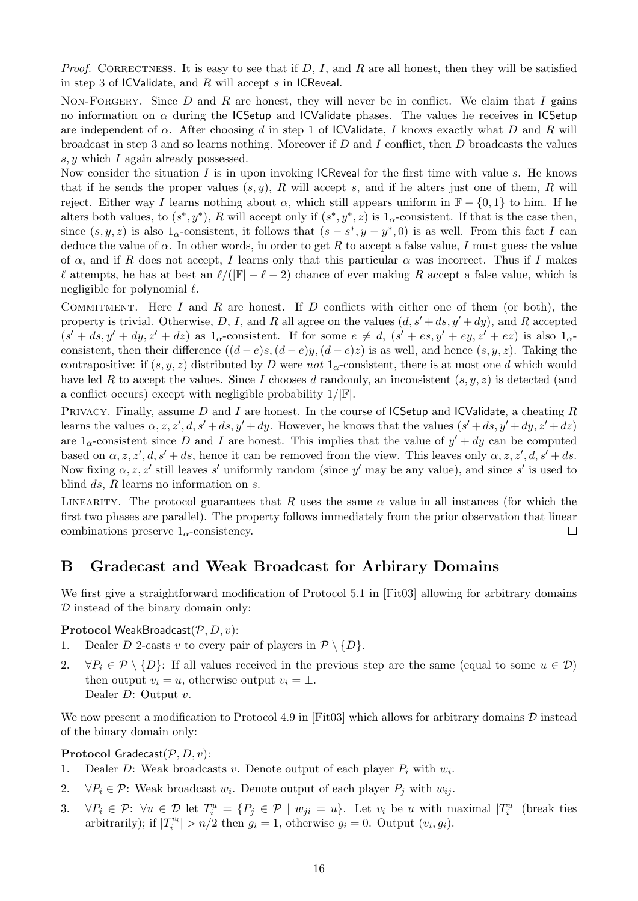*Proof.* CORRECTNESS. It is easy to see that if *D*, *I*, and *R* are all honest, then they will be satisfied in step 3 of ICValidate, and *R* will accept *s* in ICReveal.

NON-FORGERY. Since *D* and *R* are honest, they will never be in conflict. We claim that *I* gains no information on  $\alpha$  during the ICSetup and ICValidate phases. The values he receives in ICSetup are independent of *α*. After choosing *d* in step 1 of ICValidate, *I* knows exactly what *D* and *R* will broadcast in step 3 and so learns nothing. Moreover if *D* and *I* conflict, then *D* broadcasts the values *s, y* which *I* again already possessed.

Now consider the situation *I* is in upon invoking ICReveal for the first time with value *s*. He knows that if he sends the proper values  $(s, y)$ ,  $R$  will accept  $s$ , and if he alters just one of them,  $R$  will reject. Either way *I* learns nothing about  $\alpha$ , which still appears uniform in  $\mathbb{F} - \{0, 1\}$  to him. If he alters both values, to  $(s^*, y^*)$ , *R* will accept only if  $(s^*, y^*, z)$  is 1<sub>α</sub>-consistent. If that is the case then, since  $(s, y, z)$  is also  $1_\alpha$ -consistent, it follows that  $(s - s^*, y - y^*, 0)$  is as well. From this fact *I* can deduce the value of  $\alpha$ . In other words, in order to get R to accept a false value, I must guess the value of  $\alpha$ , and if *R* does not accept, *I* learns only that this particular  $\alpha$  was incorrect. Thus if *I* makes  $\ell$  attempts, he has at best an  $\ell/(|\mathbb{F}| - \ell - 2)$  chance of ever making R accept a false value, which is negligible for polynomial *ℓ*.

Commitment. Here *I* and *R* are honest. If *D* conflicts with either one of them (or both), the property is trivial. Otherwise, *D*, *I*, and *R* all agree on the values  $(d, s' + ds, y' + dy)$ , and *R* accepted  $(s' + ds, y' + dy, z' + dz)$  as  $1_{\alpha}$ -consistent. If for some  $e \neq d$ ,  $(s' + es, y' + ey, z' + ez)$  is also  $1_{\alpha}$ consistent, then their difference  $((d - e)s, (d - e)y, (d - e)z)$  is as well, and hence  $(s, y, z)$ . Taking the contrapositive: if  $(s, y, z)$  distributed by *D* were *not*  $1_\alpha$ -consistent, there is at most one *d* which would have led *R* to accept the values. Since *I* chooses *d* randomly, an inconsistent  $(s, y, z)$  is detected (and a conflict occurs) except with negligible probability 1*/|*F*|*.

Privacy. Finally, assume *D* and *I* are honest. In the course of ICSetup and ICValidate, a cheating *R* learns the values  $\alpha$ , z, z',  $d$ ,  $s' + ds$ ,  $y' + dy$ . However, he knows that the values  $(s' + ds, y' + dy, z' + dz)$ are  $1_{\alpha}$ -consistent since *D* and *I* are honest. This implies that the value of  $y' + dy$  can be computed based on  $\alpha$ , z, z', d, s' + ds, hence it can be removed from the view. This leaves only  $\alpha$ , z, z', d, s' + ds. Now fixing  $\alpha, z, z'$  still leaves *s'* uniformly random (since *y'* may be any value), and since *s'* is used to blind *ds*, *R* learns no information on *s*.

LINEARITY. The protocol guarantees that *R* uses the same  $\alpha$  value in all instances (for which the first two phases are parallel). The property follows immediately from the prior observation that linear combinations preserve  $1_{\alpha}$ -consistency.  $\Box$ 

### **B Gradecast and Weak Broadcast for Arbirary Domains**

We first give a straightforward modification of Protocol 5.1 in [Fit03] allowing for arbitrary domains *D* instead of the binary domain only:

**Protocol** WeakBroadcast(*P, D, v*):

- 1. Dealer *D* 2-casts *v* to every pair of players in  $\mathcal{P} \setminus \{D\}$ .
- 2.  $\forall P_i \in \mathcal{P} \setminus \{D\}$ : If all values received in the previous step are the same (equal to some  $u \in \mathcal{D}$ ) then output  $v_i = u$ , otherwise output  $v_i = \bot$ . Dealer *D*: Output *v*.

We now present a modification to Protocol 4.9 in [Fit03] which allows for arbitrary domains  $\mathcal D$  instead of the binary domain only:

**Protocol** Gradecast(*P, D, v*):

- 1. Dealer *D*: Weak broadcasts *v*. Denote output of each player *P<sup>i</sup>* with *w<sup>i</sup>* .
- 2.  $\forall P_i \in \mathcal{P}$ : Weak broadcast  $w_i$ . Denote output of each player  $P_j$  with  $w_{ij}$ .
- 3.  $\forall P_i \in \mathcal{P}$ :  $\forall u \in \mathcal{D}$  let  $T_i^u = \{P_j \in \mathcal{P} \mid w_{ji} = u\}$ . Let  $v_i$  be u with maximal  $|T_i^u|$  (break ties arbitrarily); if  $|T_i^{v_i}| > n/2$  then  $g_i = 1$ , otherwise  $g_i = 0$ . Output  $(v_i, g_i)$ .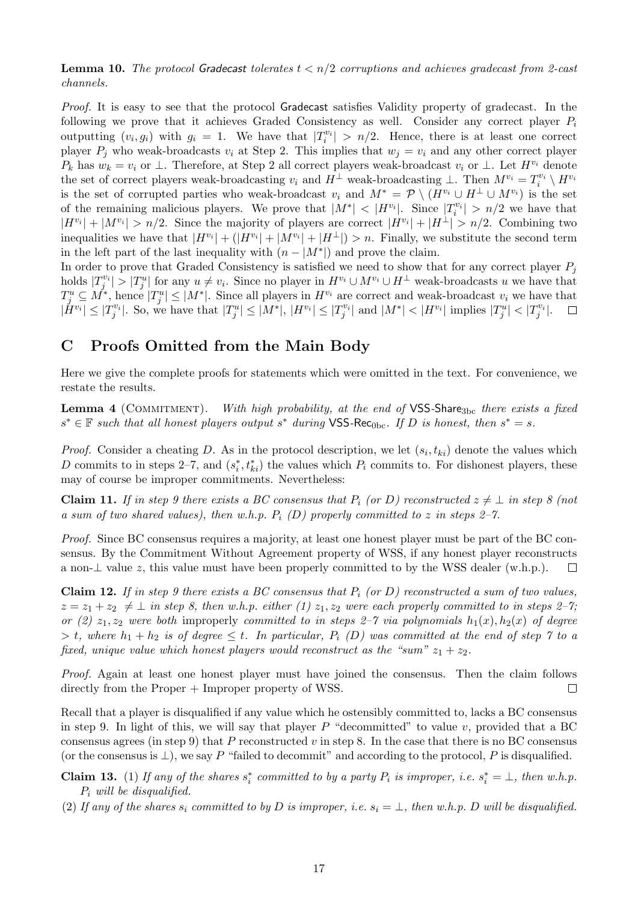**Lemma 10.** *The protocol Gradecast tolerates t < n/*2 *corruptions and achieves gradecast from 2-cast channels.*

*Proof.* It is easy to see that the protocol Gradecast satisfies Validity property of gradecast. In the following we prove that it achieves Graded Consistency as well. Consider any correct player *P<sup>i</sup>* outputting  $(v_i, g_i)$  with  $g_i = 1$ . We have that  $|T_i^{v_i}| > n/2$ . Hence, there is at least one correct player  $P_j$  who weak-broadcasts  $v_i$  at Step 2. This implies that  $w_j = v_i$  and any other correct player *P*<sup>*k*</sup> has  $w_k = v_i$  or ⊥. Therefore, at Step 2 all correct players weak-broadcast  $v_i$  or ⊥. Let  $H^{v_i}$  denote the set of correct players weak-broadcasting  $v_i$  and  $H^{\perp}$  weak-broadcasting  $\perp$ . Then  $M^{v_i} = T_i^{v_i} \setminus H^{v_i}$ is the set of corrupted parties who weak-broadcast  $v_i$  and  $M^* = \mathcal{P} \setminus (H^{v_i} \cup H^{\perp} \cup M^{v_i})$  is the set of the remaining malicious players. We prove that  $|M^*|$  <  $|H^{v_i}|$ . Since  $|T_i^{v_i}| > n/2$  we have that  $|H^{v_i}|+|M^{v_i}|>n/2$ . Since the majority of players are correct  $|H^{v_i}|+|H^{\perp}|>n/2$ . Combining two inequalities we have that  $|H^{v_i}| + (|H^{v_i}| + |M^{v_i}| + |H^{\perp}|) > n$ . Finally, we substitute the second term in the left part of the last inequality with  $(n - |M^*|)$  and prove the claim.

In order to prove that Graded Consistency is satisfied we need to show that for any correct player  $P_i$ holds  $|T_j^{v_i}| > |T_j^u|$  for any  $u \neq v_i$ . Since no player in  $H^{v_i} \cup M^{v_i} \cup H^{\perp}$  weak-broadcasts u we have that  $T_j^u \subseteq M^*$ , hence  $|T_j^u| \leq |M^*|$ . Since all players in  $H^{v_i}$  are correct and weak-broadcast  $v_i$  we have that  $|\dot{H}^{v_i}| \leq |T_j^{v_i}|$ . So, we have that  $|T_j^u| \leq |M^*|, |H^{v_i}| \leq |T_j^{v_i}|$  and  $|M^*| < |H^{v_i}|$  implies  $|T_j^u| < |T_j^{v_i}|$ .  $\Box$ 

### **C Proofs Omitted from the Main Body**

Here we give the complete proofs for statements which were omitted in the text. For convenience, we restate the results.

Lemma 4 (COMMITMENT). *With high probability, at the end of* VSS-Share<sub>3bc</sub> *there exists a fixed*  $s^* \in \mathbb{F}$  such that all honest players output  $s^*$  during VSS-Rec<sub>0bc</sub>. If D is honest, then  $s^* = s$ .

*Proof.* Consider a cheating *D*. As in the protocol description, we let (*s<sup>i</sup> , tki*) denote the values which *D* commits to in steps 2–7, and  $(s_i^*, t_{ki}^*)$  the values which  $P_i$  commits to. For dishonest players, these may of course be improper commitments. Nevertheless:

**Claim 11.** If in step 9 there exists a BC consensus that  $P_i$  (or  $D$ ) reconstructed  $z \neq \bot$  in step 8 (not *a sum of two shared values), then w.h.p. P<sup>i</sup> (D) properly committed to z in steps 2–7.*

*Proof.* Since BC consensus requires a majority, at least one honest player must be part of the BC consensus. By the Commitment Without Agreement property of WSS, if any honest player reconstructs a non-*⊥* value *z*, this value must have been properly committed to by the WSS dealer (w.h.p.).  $\Box$ 

**Claim 12.** *If in step 9 there exists a BC consensus that*  $P_i$  *(or D) reconstructed a sum of two values,*  $z = z_1 + z_2 \neq \perp$  *in step 8, then w.h.p. either (1)*  $z_1, z_2$  *were each properly committed to in steps 2–7; or* (2)  $z_1, z_2$  *were both* improperly *committed to in steps 2–7 via polynomials*  $h_1(x), h_2(x)$  *of degree*  $> t$ *, where*  $h_1 + h_2$  *is of degree*  $\leq t$ *. In particular,*  $P_i$  (D) was committed at the end of step 7 to a *fixed, unique value which honest players would reconstruct as the "sum"*  $z_1 + z_2$ .

*Proof.* Again at least one honest player must have joined the consensus. Then the claim follows directly from the Proper + Improper property of WSS.  $\Box$ 

Recall that a player is disqualified if any value which he ostensibly committed to, lacks a BC consensus in step 9. In light of this, we will say that player  $P$  "decommitted" to value  $v$ , provided that a BC consensus agrees (in step 9) that *P* reconstructed  $v$  in step 8. In the case that there is no BC consensus (or the consensus is *⊥*), we say *P* "failed to decommit" and according to the protocol, *P* is disqualified.

**Claim 13.** (1) If any of the shares  $s_i^*$  committed to by a party  $P_i$  is improper, i.e.  $s_i^* = \bot$ , then w.h.p. *P<sup>i</sup> will be disqualified.*

(2) If any of the shares  $s_i$  committed to by D is improper, i.e.  $s_i = \bot$ , then w.h.p. D will be disqualified.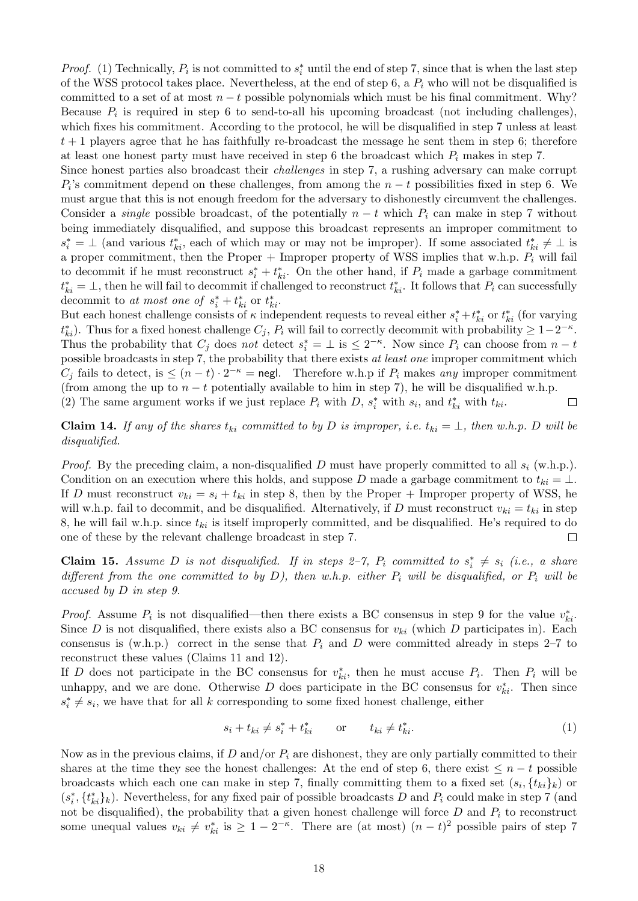*Proof.* (1) Technically,  $P_i$  is not committed to  $s_i^*$  until the end of step 7, since that is when the last step of the WSS protocol takes place. Nevertheless, at the end of step 6, a *P<sup>i</sup>* who will not be disqualified is committed to a set of at most  $n - t$  possible polynomials which must be his final commitment. Why? Because  $P_i$  is required in step 6 to send-to-all his upcoming broadcast (not including challenges), which fixes his commitment. According to the protocol, he will be disqualified in step 7 unless at least  $t+1$  players agree that he has faithfully re-broadcast the message he sent them in step 6; therefore at least one honest party must have received in step 6 the broadcast which  $P_i$  makes in step 7.

Since honest parties also broadcast their *challenges* in step 7, a rushing adversary can make corrupt  $P_i$ 's commitment depend on these challenges, from among the *n* − *t* possibilities fixed in step 6. We must argue that this is not enough freedom for the adversary to dishonestly circumvent the challenges. Consider a *single* possible broadcast, of the potentially  $n - t$  which  $P_i$  can make in step 7 without being immediately disqualified, and suppose this broadcast represents an improper commitment to  $s_i^* = \bot$  (and various  $t_{ki}^*$ , each of which may or may not be improper). If some associated  $t_{ki}^* \neq \bot$  is a proper commitment, then the Proper + Improper property of WSS implies that w.h.p. *P<sup>i</sup>* will fail to decommit if he must reconstruct  $s_i^* + t_{ki}^*$ . On the other hand, if  $P_i$  made a garbage commitment  $t_{ki}^* = \bot$ , then he will fail to decommit if challenged to reconstruct  $t_{ki}^*$ . It follows that  $P_i$  can successfully decommit to *at most one of*  $s_i^* + t_{ki}^*$  or  $t_{ki}^*$ .

But each honest challenge consists of  $\kappa$  independent requests to reveal either  $s_i^* + t_{ki}^*$  or  $t_{ki}^*$  (for varying *t*<sub>*ki*</sub></sub>). Thus for a fixed honest challenge *C<sub>j</sub>*, *P<sub>i</sub>* will fail to correctly decommit with probability  $\geq 1-2^{-\kappa}$ . Thus the probability that  $C_j$  does *not* detect  $s_i^* = \perp$  is  $\leq 2^{-\kappa}$ . Now since  $P_i$  can choose from  $n - t$ possible broadcasts in step 7, the probability that there exists *at least one* improper commitment which *C*<sup>*j*</sup> fails to detect, is  $\leq (n-t) \cdot 2^{-\kappa}$  = negl. Therefore w.h.p if  $P_i$  makes *any* improper commitment (from among the up to  $n - t$  potentially available to him in step 7), he will be disqualified w.h.p.  $\Box$ (2) The same argument works if we just replace  $P_i$  with  $D$ ,  $s_i^*$  with  $s_i$ , and  $t_{ki}^*$  with  $t_{ki}$ .

**Claim 14.** If any of the shares  $t_{ki}$  committed to by *D* is improper, i.e.  $t_{ki} = \bot$ , then w.h.p. *D* will be *disqualified.*

*Proof.* By the preceding claim, a non-disqualified *D* must have properly committed to all *s<sup>i</sup>* (w.h.p.). Condition on an execution where this holds, and suppose *D* made a garbage commitment to  $t_{ki} = \perp$ . If *D* must reconstruct  $v_{ki} = s_i + t_{ki}$  in step 8, then by the Proper + Improper property of WSS, he will w.h.p. fail to decommit, and be disqualified. Alternatively, if *D* must reconstruct  $v_{ki} = t_{ki}$  in step 8, he will fail w.h.p. since *tki* is itself improperly committed, and be disqualified. He's required to do one of these by the relevant challenge broadcast in step 7.  $\Box$ 

**Claim 15.** Assume D is not disqualified. If in steps 2–7,  $P_i$  committed to  $s_i^* \neq s_i$  (i.e., a share *different from the one committed to by D), then w.h.p. either P<sup>i</sup> will be disqualified, or P<sup>i</sup> will be accused by D in step 9.*

*Proof.* Assume  $P_i$  is not disqualified—then there exists a BC consensus in step 9 for the value  $v_{ki}^*$ . Since *D* is not disqualified, there exists also a BC consensus for  $v_{ki}$  (which *D* participates in). Each consensus is (w.h.p.) correct in the sense that  $P_i$  and  $D$  were committed already in steps 2–7 to reconstruct these values (Claims 11 and 12).

If *D* does not participate in the BC consensus for  $v_{ki}^*$ , then he must accuse  $P_i$ . Then  $P_i$  will be unhappy, and we are done. Otherwise  $D$  does participate in the BC consensus for  $v_{ki}^*$ . Then since  $s_i^* \neq s_i$ , we have that for all *k* corresponding to some fixed honest challenge, either

$$
s_i + t_{ki} \neq s_i^* + t_{ki}^* \qquad \text{or} \qquad t_{ki} \neq t_{ki}^*.
$$

Now as in the previous claims, if *D* and/or *P<sup>i</sup>* are dishonest, they are only partially committed to their shares at the time they see the honest challenges: At the end of step 6, there exist  $\leq n-t$  possible broadcasts which each one can make in step 7, finally committing them to a fixed set  $(s_i, \{t_{ki}\}_k)$  or  $(s_i^*, \{t_{ki}^*\}_k)$ . Nevertheless, for any fixed pair of possible broadcasts *D* and  $P_i$  could make in step 7 (and not be disqualified), the probability that a given honest challenge will force *D* and *P<sup>i</sup>* to reconstruct some unequal values  $v_{ki} \neq v_{ki}^*$  is  $\geq 1 - 2^{-\kappa}$ . There are (at most)  $(n - t)^2$  possible pairs of step 7